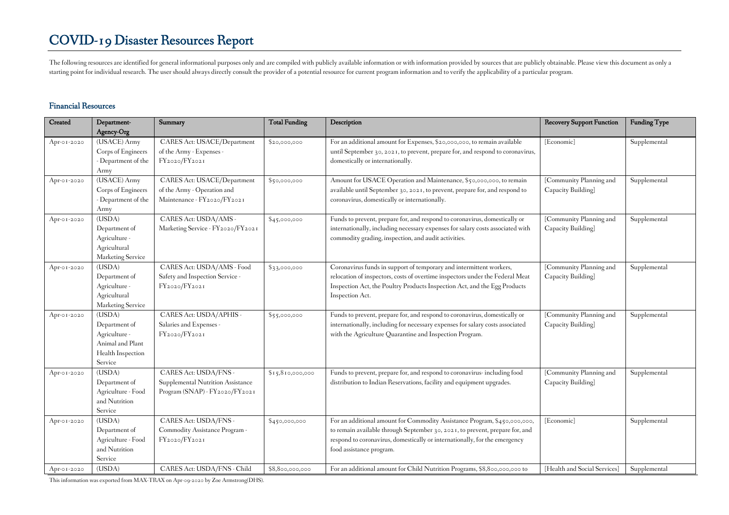The following resources are identified for general informational purposes only and are compiled with publicly available information or with information provided by sources that are publicly obtainable. Please view this doc starting point for individual research. The user should always directly consult the provider of a potential resource for current program information and to verify the applicability of a particular program.

#### **Financial Resources**

| Created     | Department-                    | Summary                                          | <b>Total Funding</b> | Description                                                                                                                                                | <b>Recovery Support Function</b> | <b>Funding Type</b> |
|-------------|--------------------------------|--------------------------------------------------|----------------------|------------------------------------------------------------------------------------------------------------------------------------------------------------|----------------------------------|---------------------|
|             | Agency-Org                     |                                                  |                      |                                                                                                                                                            |                                  |                     |
| Apr-01-2020 | (USACE) Army                   | CARES Act: USACE/Department                      | \$20,000,000         | For an additional amount for Expenses, \$20,000,000, to remain available                                                                                   | [Economic]                       | Supplemental        |
|             | Corps of Engineers             | of the Army - Expenses -                         |                      | until September 30, 2021, to prevent, prepare for, and respond to coronavirus,                                                                             |                                  |                     |
|             | - Department of the            | FY2020/FY2021                                    |                      | domestically or internationally.                                                                                                                           |                                  |                     |
|             | Army                           |                                                  |                      |                                                                                                                                                            |                                  |                     |
| Apr-01-2020 | (USACE) Army                   | CARES Act: USACE/Department                      | \$50,000,000         | Amount for USACE Operation and Maintenance, \$50,000,000, to remain                                                                                        | [Community Planning and          | Supplemental        |
|             | Corps of Engineers             | of the Army - Operation and                      |                      | available until September 30, 2021, to prevent, prepare for, and respond to                                                                                | Capacity Building]               |                     |
|             | - Department of the            | Maintenance - FY2020/FY2021                      |                      | coronavirus, domestically or internationally.                                                                                                              |                                  |                     |
|             | Army                           |                                                  |                      |                                                                                                                                                            |                                  |                     |
| Apr-01-2020 | (USDA)                         | CARES Act: USDA/AMS -                            | \$45,000,000         | Funds to prevent, prepare for, and respond to coronavirus, domestically or                                                                                 | [Community Planning and          | Supplemental        |
|             | Department of                  | Marketing Service - FY2020/FY2021                |                      | internationally, including necessary expenses for salary costs associated with                                                                             | Capacity Building]               |                     |
|             | Agriculture -                  |                                                  |                      | commodity grading, inspection, and audit activities.                                                                                                       |                                  |                     |
|             | Agricultural                   |                                                  |                      |                                                                                                                                                            |                                  |                     |
|             | Marketing Service              |                                                  |                      |                                                                                                                                                            |                                  |                     |
| Apr-01-2020 | (USDA)                         | CARES Act: USDA/AMS - Food                       | \$3,000,000          | Coronavirus funds in support of temporary and intermittent workers,                                                                                        | [Community Planning and          | Supplemental        |
|             | Department of<br>Agriculture - | Safety and Inspection Service -<br>FY2020/FY2021 |                      | relocation of inspectors, costs of overtime inspectors under the Federal Meat<br>Inspection Act, the Poultry Products Inspection Act, and the Egg Products | Capacity Building]               |                     |
|             | Agricultural                   |                                                  |                      | Inspection Act.                                                                                                                                            |                                  |                     |
|             | Marketing Service              |                                                  |                      |                                                                                                                                                            |                                  |                     |
| Apr-01-2020 | (USDA)                         | CARES Act: USDA/APHIS -                          | \$55,000,000         | Funds to prevent, prepare for, and respond to coronavirus, domestically or                                                                                 | [Community Planning and          | Supplemental        |
|             | Department of                  | Salaries and Expenses -                          |                      | internationally, including for necessary expenses for salary costs associated                                                                              | Capacity Building]               |                     |
|             | Agriculture -                  | FY2020/FY2021                                    |                      | with the Agriculture Quarantine and Inspection Program.                                                                                                    |                                  |                     |
|             | Animal and Plant               |                                                  |                      |                                                                                                                                                            |                                  |                     |
|             | Health Inspection              |                                                  |                      |                                                                                                                                                            |                                  |                     |
|             | Service                        |                                                  |                      |                                                                                                                                                            |                                  |                     |
| Apr-01-2020 | (USDA)                         | CARES Act: USDA/FNS -                            | \$15,810,000,000     | Funds to prevent, prepare for, and respond to coronavirus-including food                                                                                   | [Community Planning and          | Supplemental        |
|             | Department of                  | Supplemental Nutrition Assistance                |                      | distribution to Indian Reservations, facility and equipment upgrades.                                                                                      | Capacity Building]               |                     |
|             | Agriculture - Food             | Program (SNAP) - FY2020/FY2021                   |                      |                                                                                                                                                            |                                  |                     |
|             | and Nutrition                  |                                                  |                      |                                                                                                                                                            |                                  |                     |
|             | Service                        |                                                  |                      |                                                                                                                                                            |                                  |                     |
| Apr-01-2020 | (USDA)                         | CARES Act: USDA/FNS -                            | \$450,000,000        | For an additional amount for Commodity Assistance Program, \$450,000,000,                                                                                  | [Economic]                       | Supplemental        |
|             | Department of                  | Commodity Assistance Program -                   |                      | to remain available through September 30, 2021, to prevent, prepare for, and                                                                               |                                  |                     |
|             | Agriculture - Food             | FY2020/FY2021                                    |                      | respond to coronavirus, domestically or internationally, for the emergency                                                                                 |                                  |                     |
|             | and Nutrition                  |                                                  |                      | food assistance program.                                                                                                                                   |                                  |                     |
|             | Service                        |                                                  |                      |                                                                                                                                                            |                                  |                     |
| Apr-01-2020 | (USDA)                         | CARES Act: USDA/FNS - Child                      | \$8,800,000,000      | For an additional amount for Child Nutrition Programs, \$8,800,000,000 to                                                                                  | [Health and Social Services]     | Supplemental        |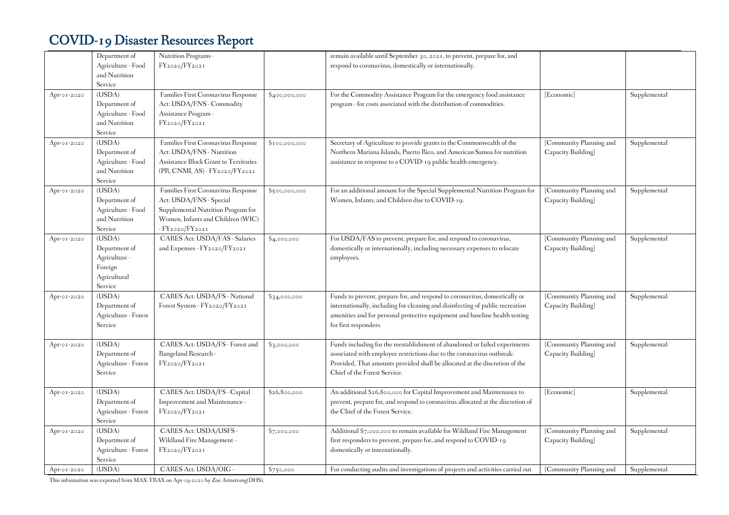|             | Department of        | Nutrition Programs -                   |               | remain available until September 30, 2021, to prevent, prepare for, and         |                         |              |
|-------------|----------------------|----------------------------------------|---------------|---------------------------------------------------------------------------------|-------------------------|--------------|
|             | Agriculture - Food   | FY2020/FY2021                          |               | respond to coronavirus, domestically or internationally.                        |                         |              |
|             | and Nutrition        |                                        |               |                                                                                 |                         |              |
|             | Service              |                                        |               |                                                                                 |                         |              |
| Apr-01-2020 | (USDA)               | Families First Coronavirus Response    | \$400,000,000 | For the Commodity Assistance Program for the emergency food assistance          | [Economic]              | Supplemental |
|             | Department of        | Act: USDA/FNS - Commodity              |               | program - for costs associated with the distribution of commodities.            |                         |              |
|             | Agriculture - Food   | Assistance Program -                   |               |                                                                                 |                         |              |
|             | and Nutrition        | FY2020/FY2021                          |               |                                                                                 |                         |              |
|             | Service              |                                        |               |                                                                                 |                         |              |
| Apr-01-2020 | (USDA)               | Families First Coronavirus Response    | \$100,000,000 | Secretary of Agriculture to provide grants to the Commonwealth of the           | [Community Planning and | Supplemental |
|             | Department of        | Act: USDA/FNS - Nutrition              |               | Northern Mariana Islands, Puerto Rico, and American Samoa for nutrition         | Capacity Building]      |              |
|             | Agriculture - Food   | Assistance Block Grant to Territories  |               | assistance in response to a COVID-19 public health emergency.                   |                         |              |
|             | and Nutrition        | $(PR, CNMI, AS) - FY_{2020}/FY_{2021}$ |               |                                                                                 |                         |              |
|             | Service              |                                        |               |                                                                                 |                         |              |
| Apr-01-2020 | (USDA)               | Families First Coronavirus Response    | \$500,000,000 | For an additional amount for the Special Supplemental Nutrition Program for     | [Community Planning and | Supplemental |
|             | Department of        | Act: USDA/FNS - Special                |               | Women, Infants, and Children due to COVID-19.                                   | Capacity Building]      |              |
|             | Agriculture - Food   | Supplemental Nutrition Program for     |               |                                                                                 |                         |              |
|             | and Nutrition        | Women, Infants and Children (WIC)      |               |                                                                                 |                         |              |
|             | Service              | - FY2020/FY2021                        |               |                                                                                 |                         |              |
| Apr-01-2020 | (USDA)               | CARES Act: USDA/FAS - Salaries         | \$4,000,000   | For USDA/FAS to prevent, prepare for, and respond to coronavirus,               | [Community Planning and | Supplemental |
|             | Department of        | and Expenses - FY2020/FY2021           |               | domestically or internationally, including necessary expenses to relocate       | Capacity Building]      |              |
|             | Agriculture -        |                                        |               | employees.                                                                      |                         |              |
|             | Foreign              |                                        |               |                                                                                 |                         |              |
|             | Agricultural         |                                        |               |                                                                                 |                         |              |
|             | Service              |                                        |               |                                                                                 |                         |              |
| Apr-01-2020 | (USDA)               | CARES Act: USDA/FS - National          | \$34,000,000  | Funds to prevent, prepare for, and respond to coronavirus, domestically or      | [Community Planning and | Supplemental |
|             | Department of        | Forest System - FY2020/FY2021          |               | internationally, including for cleaning and disinfecting of public recreation   | Capacity Building]      |              |
|             | Agriculture - Forest |                                        |               | amenities and for personal protective equipment and baseline health testing     |                         |              |
|             | Service              |                                        |               | for first responders.                                                           |                         |              |
|             |                      |                                        |               |                                                                                 |                         |              |
| Apr-01-2020 | (USDA)               | CARES Act: USDA/FS - Forest and        | \$3,000,000   | Funds including for the reestablishment of abandoned or failed experiments      | [Community Planning and | Supplemental |
|             | Department of        | Rangeland Research -                   |               | associated with employee restrictions due to the coronavirus outbreak:          | Capacity Building]      |              |
|             | Agriculture - Forest | FY2020/FY2021                          |               | Provided, That amounts provided shall be allocated at the discretion of the     |                         |              |
|             | Service              |                                        |               | Chief of the Forest Service.                                                    |                         |              |
|             |                      |                                        |               |                                                                                 |                         |              |
| Apr-01-2020 | (USDA)               | CARES Act: USDA/FS - Capital           | \$26,800,000  | An additional \$26,800,000 for Capital Improvement and Maintenance to           | [Economic]              | Supplemental |
|             | Department of        | Improvement and Maintenance -          |               | prevent, prepare for, and respond to coronavirus allocated at the discretion of |                         |              |
|             | Agriculture - Forest | FY2020/FY2021                          |               | the Chief of the Forest Service.                                                |                         |              |
|             | Service              |                                        |               |                                                                                 |                         |              |
| Apr-01-2020 | (USDA)               | CARES Act: USDA/USFS -                 | \$7,000,000   | Additional \$7,000,000 to remain available for Wildland Fire Management         | [Community Planning and | Supplemental |
|             | Department of        | Wildland Fire Management -             |               | first responders to prevent, prepare for, and respond to COVID-19               | Capacity Building]      |              |
|             | Agriculture - Forest | FY2020/FY2021                          |               | domestically or internationally.                                                |                         |              |
|             | Service              |                                        |               |                                                                                 |                         |              |
| Apr-01-2020 | (USDA)               | CARES Act: USDA/OIG -                  | \$750,000     | For conducting audits and investigations of projects and activities carried out | [Community Planning and | Supplemental |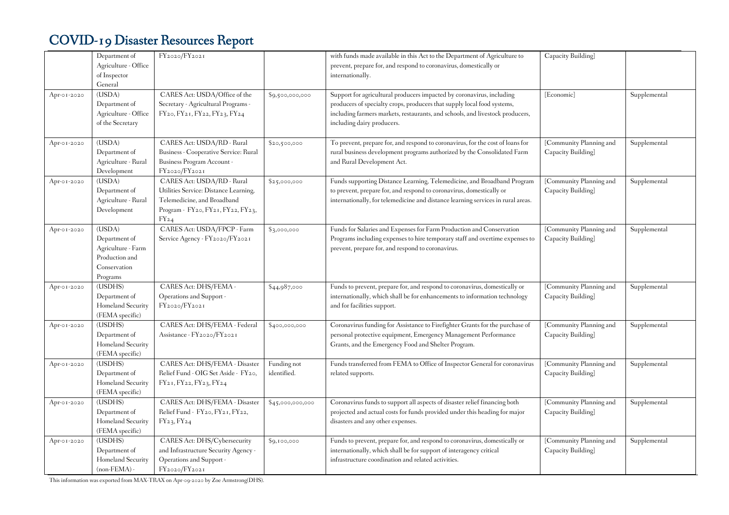|             | Department of<br>Agriculture - Office<br>of Inspector<br>General                            | FY2020/FY2021                                                                                                                                        |                            | with funds made available in this Act to the Department of Agriculture to<br>prevent, prepare for, and respond to coronavirus, domestically or<br>internationally.                                                                                              | Capacity Building]                            |              |
|-------------|---------------------------------------------------------------------------------------------|------------------------------------------------------------------------------------------------------------------------------------------------------|----------------------------|-----------------------------------------------------------------------------------------------------------------------------------------------------------------------------------------------------------------------------------------------------------------|-----------------------------------------------|--------------|
| Apr-01-2020 | (USDA)<br>Department of<br>Agriculture - Office<br>of the Secretary                         | CARES Act: USDA/Office of the<br>Secretary - Agricultural Programs -<br>FY20, FY21, FY22, FY23, FY24                                                 | \$9,500,000,000            | Support for agricultural producers impacted by coronavirus, including<br>producers of specialty crops, producers that supply local food systems,<br>including farmers markets, restaurants, and schools, and livestock producers,<br>including dairy producers. | [Economic]                                    | Supplemental |
| Apr-01-2020 | (USDA)<br>Department of<br>Agriculture - Rural<br>Development                               | CARES Act: USDA/RD - Rural<br>Business - Cooperative Service: Rural<br>Business Program Account -<br>FY2020/FY2021                                   | \$20,500,000               | To prevent, prepare for, and respond to coronavirus, for the cost of loans for<br>rural business development programs authorized by the Consolidated Farm<br>and Rural Development Act.                                                                         | [Community Planning and<br>Capacity Building] | Supplemental |
| Apr-01-2020 | (USDA)<br>Department of<br>Agriculture - Rural<br>Development                               | CARES Act: USDA/RD - Rural<br>Utilities Service: Distance Learning,<br>Telemedicine, and Broadband<br>Program - FY20, FY21, FY22, FY23,<br>$FY_{24}$ | \$25,000,000               | Funds supporting Distance Learning, Telemedicine, and Broadband Program<br>to prevent, prepare for, and respond to coronavirus, domestically or<br>internationally, for telemedicine and distance learning services in rural areas.                             | [Community Planning and<br>Capacity Building] | Supplemental |
| Apr-01-2020 | (USDA)<br>Department of<br>Agriculture - Farm<br>Production and<br>Conservation<br>Programs | CARES Act: USDA/FPCP - Farm<br>Service Agency - FY2020/FY2021                                                                                        | \$3,000,000                | Funds for Salaries and Expenses for Farm Production and Conservation<br>Programs including expenses to hire temporary staff and overtime expenses to<br>prevent, prepare for, and respond to coronavirus.                                                       | [Community Planning and<br>Capacity Building] | Supplemental |
| Apr-01-2020 | (USDHS)<br>Department of<br>Homeland Security<br>(FEMA specific)                            | CARES Act: DHS/FEMA -<br>Operations and Support -<br>FY2020/FY2021                                                                                   | \$44,987,000               | Funds to prevent, prepare for, and respond to coronavirus, domestically or<br>internationally, which shall be for enhancements to information technology<br>and for facilities support.                                                                         | [Community Planning and<br>Capacity Building] | Supplemental |
| Apr-01-2020 | (USDHS)<br>Department of<br>Homeland Security<br>(FEMA specific)                            | CARES Act: DHS/FEMA - Federal<br>Assistance - FY2020/FY2021                                                                                          | \$400,000,000              | Coronavirus funding for Assistance to Firefighter Grants for the purchase of<br>personal protective equipment, Emergency Management Performance<br>Grants, and the Emergency Food and Shelter Program.                                                          | [Community Planning and<br>Capacity Building] | Supplemental |
| Apr-01-2020 | (USDHS)<br>Department of<br>Homeland Security<br>(FEMA specific)                            | CARES Act: DHS/FEMA - Disaster<br>Relief Fund - OIG Set Aside - FY20,<br>FY <sub>21</sub> , FY <sub>22</sub> , FY <sub>23</sub> , FY <sub>24</sub>   | Funding not<br>identified. | Funds transferred from FEMA to Office of Inspector General for coronavirus<br>related supports.                                                                                                                                                                 | [Community Planning and<br>Capacity Building] | Supplemental |
| Apr-01-2020 | (USDHS)<br>Department of<br>Homeland Security<br>(FEMA specific)                            | CARES Act: DHS/FEMA - Disaster<br>Relief Fund - FY20, FY21, FY22,<br>FY23, FY24                                                                      | \$45,000,000,000           | Coronavirus funds to support all aspects of disaster relief financing both<br>projected and actual costs for funds provided under this heading for major<br>disasters and any other expenses.                                                                   | [Community Planning and<br>Capacity Building] | Supplemental |
| Apr-01-2020 | (USDHS)<br>Department of<br>Homeland Security<br>$(non-FEMA)$                               | CARES Act: DHS/Cybersecurity<br>and Infrastructure Security Agency -<br>Operations and Support -<br>FY2020/FY2021                                    | \$9,100,000                | Funds to prevent, prepare for, and respond to coronavirus, domestically or<br>internationally, which shall be for support of interagency critical<br>infrastructure coordination and related activities.                                                        | [Community Planning and<br>Capacity Building] | Supplemental |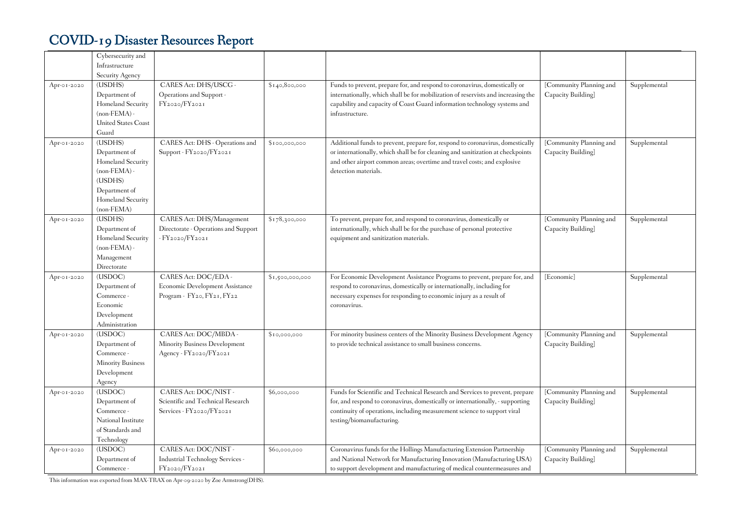|             | Cybersecurity and                  |                                      |                 |                                                                                   |                                               |              |
|-------------|------------------------------------|--------------------------------------|-----------------|-----------------------------------------------------------------------------------|-----------------------------------------------|--------------|
|             | Infrastructure                     |                                      |                 |                                                                                   |                                               |              |
|             | Security Agency                    |                                      |                 |                                                                                   |                                               |              |
| Apr-01-2020 | (USDHS)                            | CARES Act: DHS/USCG -                | \$140,800,000   | Funds to prevent, prepare for, and respond to coronavirus, domestically or        | [Community Planning and                       | Supplemental |
|             | Department of                      | Operations and Support -             |                 | internationally, which shall be for mobilization of reservists and increasing the | Capacity Building]                            |              |
|             | Homeland Security                  | FY2020/FY2021                        |                 | capability and capacity of Coast Guard information technology systems and         |                                               |              |
|             | $(non-FEMA)$                       |                                      |                 | infrastructure.                                                                   |                                               |              |
|             | <b>United States Coast</b>         |                                      |                 |                                                                                   |                                               |              |
|             | Guard                              |                                      |                 |                                                                                   |                                               |              |
| Apr-01-2020 | (USDHS)                            | CARES Act: DHS - Operations and      | \$100,000,000   | Additional funds to prevent, prepare for, respond to coronavirus, domestically    | [Community Planning and                       | Supplemental |
|             | Department of                      | Support - FY2020/FY2021              |                 | or internationally, which shall be for cleaning and sanitization at checkpoints   | Capacity Building]                            |              |
|             | Homeland Security                  |                                      |                 | and other airport common areas; overtime and travel costs; and explosive          |                                               |              |
|             | $(non-FEMA)$ -                     |                                      |                 | detection materials.                                                              |                                               |              |
|             | (USDHS)                            |                                      |                 |                                                                                   |                                               |              |
|             | Department of<br>Homeland Security |                                      |                 |                                                                                   |                                               |              |
|             | (non-FEMA)                         |                                      |                 |                                                                                   |                                               |              |
| Apr-01-2020 | (USDHS)                            | <b>CARES</b> Act: DHS/Management     | \$178,300,000   | To prevent, prepare for, and respond to coronavirus, domestically or              | [Community Planning and                       | Supplemental |
|             | Department of                      | Directorate - Operations and Support |                 | internationally, which shall be for the purchase of personal protective           | Capacity Building]                            |              |
|             | Homeland Security                  | - FY2020/FY2021                      |                 | equipment and sanitization materials.                                             |                                               |              |
|             | $(non-FEMA)$                       |                                      |                 |                                                                                   |                                               |              |
|             | Management                         |                                      |                 |                                                                                   |                                               |              |
|             | Directorate                        |                                      |                 |                                                                                   |                                               |              |
| Apr-01-2020 | (USDOC)                            | CARES Act: DOC/EDA -                 | \$1,500,000,000 | For Economic Development Assistance Programs to prevent, prepare for, and         | [Economic]                                    | Supplemental |
|             | Department of                      | Economic Development Assistance      |                 | respond to coronavirus, domestically or internationally, including for            |                                               |              |
|             | Commerce -                         | Program - FY20, FY21, FY22           |                 | necessary expenses for responding to economic injury as a result of               |                                               |              |
|             | Economic                           |                                      |                 | coronavirus.                                                                      |                                               |              |
|             | Development                        |                                      |                 |                                                                                   |                                               |              |
|             | Administration                     |                                      |                 |                                                                                   |                                               |              |
| Apr-01-2020 | (USDOC)                            | CARES Act: DOC/MBDA -                | \$10,000,000    | For minority business centers of the Minority Business Development Agency         | [Community Planning and                       | Supplemental |
|             | Department of                      | Minority Business Development        |                 | to provide technical assistance to small business concerns.                       | Capacity Building]                            |              |
|             | Commerce -                         | Agency - FY2020/FY2021               |                 |                                                                                   |                                               |              |
|             | Minority Business                  |                                      |                 |                                                                                   |                                               |              |
|             | Development                        |                                      |                 |                                                                                   |                                               |              |
|             | Agency                             |                                      |                 |                                                                                   |                                               |              |
| Apr-01-2020 | (USDOC)                            | CARES Act: DOC/NIST-                 | \$6,000,000     | Funds for Scientific and Technical Research and Services to prevent, prepare      | [Community Planning and                       | Supplemental |
|             | Department of                      | Scientific and Technical Research    |                 | for, and respond to coronavirus, domestically or internationally, - supporting    | Capacity Building]                            |              |
|             | Commerce -                         | Services - FY2020/FY2021             |                 | continuity of operations, including measurement science to support viral          |                                               |              |
|             | National Institute                 |                                      |                 | testing/biomanufacturing.                                                         |                                               |              |
|             | of Standards and<br>Technology     |                                      |                 |                                                                                   |                                               |              |
|             | $\overline{\text{(USDOC)}}$        | CARES Act: DOC/NIST -                |                 | Coronavirus funds for the Hollings Manufacturing Extension Partnership            |                                               |              |
| Apr-01-2020 |                                    | Industrial Technology Services -     | \$60,000,000    | and National Network for Manufacturing Innovation (Manufacturing USA)             | [Community Planning and<br>Capacity Building] | Supplemental |
|             | Department of<br>Commerce -        | FY2020/FY2021                        |                 | to support development and manufacturing of medical countermeasures and           |                                               |              |
|             |                                    |                                      |                 |                                                                                   |                                               |              |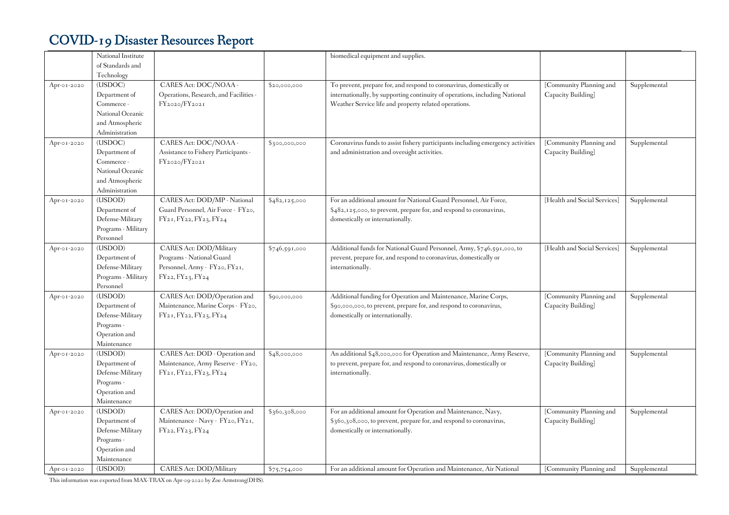|             | National Institute  |                                        |               | biomedical equipment and supplies.                                              |                              |              |
|-------------|---------------------|----------------------------------------|---------------|---------------------------------------------------------------------------------|------------------------------|--------------|
|             | of Standards and    |                                        |               |                                                                                 |                              |              |
|             | Technology          |                                        |               |                                                                                 |                              |              |
| Apr-01-2020 | (USDOC)             | CARES Act: DOC/NOAA -                  | \$20,000,000  | To prevent, prepare for, and respond to coronavirus, domestically or            | [Community Planning and      | Supplemental |
|             | Department of       | Operations, Research, and Facilities - |               | internationally, by supporting continuity of operations, including National     | Capacity Building]           |              |
|             | Commerce -          | FY2020/FY2021                          |               | Weather Service life and property related operations.                           |                              |              |
|             | National Oceanic    |                                        |               |                                                                                 |                              |              |
|             | and Atmospheric     |                                        |               |                                                                                 |                              |              |
|             | Administration      |                                        |               |                                                                                 |                              |              |
| Apr-01-2020 | (USDOC)             | CARES Act: DOC/NOAA -                  | \$300,000,000 | Coronavirus funds to assist fishery participants including emergency activities | [Community Planning and      | Supplemental |
|             | Department of       | Assistance to Fishery Participants -   |               | and administration and oversight activities.                                    | Capacity Building]           |              |
|             | Commerce -          | FY2020/FY2021                          |               |                                                                                 |                              |              |
|             | National Oceanic    |                                        |               |                                                                                 |                              |              |
|             | and Atmospheric     |                                        |               |                                                                                 |                              |              |
|             | Administration      |                                        |               |                                                                                 |                              |              |
| Apr-01-2020 | (USDOD)             | CARES Act: DOD/MP - National           | \$482,125,000 | For an additional amount for National Guard Personnel, Air Force,               | [Health and Social Services] | Supplemental |
|             | Department of       | Guard Personnel, Air Force - FY20,     |               | \$482,125,000, to prevent, prepare for, and respond to coronavirus,             |                              |              |
|             | Defense-Military    | FY21, FY22, FY23, FY24                 |               | domestically or internationally.                                                |                              |              |
|             | Programs - Military |                                        |               |                                                                                 |                              |              |
|             | Personnel           |                                        |               |                                                                                 |                              |              |
| Apr-01-2020 | (USDOD)             | CARES Act: DOD/Military                | \$746,591,000 | Additional funds for National Guard Personnel, Army, \$746,591,000, to          | [Health and Social Services] | Supplemental |
|             | Department of       | Programs - National Guard              |               | prevent, prepare for, and respond to coronavirus, domestically or               |                              |              |
|             | Defense-Military    | Personnel, Army - FY20, FY21,          |               | internationally.                                                                |                              |              |
|             | Programs - Military | FY22, FY23, FY24                       |               |                                                                                 |                              |              |
|             | Personnel           |                                        |               |                                                                                 |                              |              |
| Apr-01-2020 | (USDOD)             | CARES Act: DOD/Operation and           | \$90,000,000  | Additional funding for Operation and Maintenance, Marine Corps,                 | [Community Planning and      | Supplemental |
|             | Department of       | Maintenance, Marine Corps - FY20,      |               | \$90,000,000, to prevent, prepare for, and respond to coronavirus,              | Capacity Building]           |              |
|             | Defense-Military    | FY21, FY22, FY23, FY24                 |               | domestically or internationally.                                                |                              |              |
|             | Programs -          |                                        |               |                                                                                 |                              |              |
|             | Operation and       |                                        |               |                                                                                 |                              |              |
|             | Maintenance         |                                        |               |                                                                                 |                              |              |
| Apr-01-2020 | (USDOD)             | CARES Act: DOD - Operation and         | \$48,000,000  | An additional \$48,000,000 for Operation and Maintenance, Army Reserve,         | [Community Planning and      | Supplemental |
|             | Department of       | Maintenance, Army Reserve - FY20,      |               | to prevent, prepare for, and respond to coronavirus, domestically or            | Capacity Building]           |              |
|             | Defense-Military    | FY21, FY22, FY23, FY24                 |               | internationally.                                                                |                              |              |
|             | Programs -          |                                        |               |                                                                                 |                              |              |
|             | Operation and       |                                        |               |                                                                                 |                              |              |
|             | Maintenance         |                                        |               |                                                                                 |                              |              |
| Apr-01-2020 | (USDOD)             | CARES Act: DOD/Operation and           | \$360,308,000 | For an additional amount for Operation and Maintenance, Navy,                   | [Community Planning and      | Supplemental |
|             | Department of       | Maintenance - Navy - FY20, FY21,       |               | \$360,308,000, to prevent, prepare for, and respond to coronavirus,             | Capacity Building]           |              |
|             | Defense-Military    | FY22, FY23, FY24                       |               | domestically or internationally.                                                |                              |              |
|             | Programs -          |                                        |               |                                                                                 |                              |              |
|             | Operation and       |                                        |               |                                                                                 |                              |              |
|             | Maintenance         |                                        |               |                                                                                 |                              |              |
| Apr-01-2020 | (USDOD)             | <b>CARES Act: DOD/Military</b>         | \$75,754,000  | For an additional amount for Operation and Maintenance, Air National            | [Community Planning and      | Supplemental |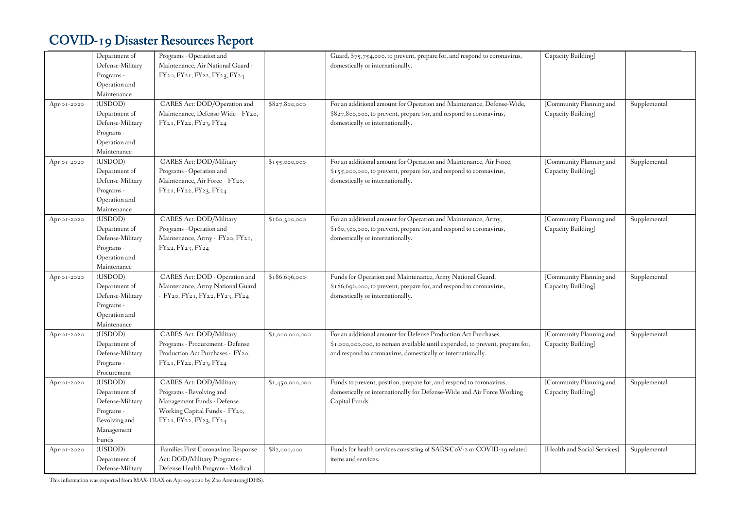|             | Department of<br>Defense-Military<br>Programs -<br>Operation and<br>Maintenance                    | Programs - Operation and<br>Maintenance, Air National Guard<br>FY20, FY21, FY22, FY23, FY24                                                      |                 | Guard, \$75,754,000, to prevent, prepare for, and respond to coronavirus,<br>domestically or internationally.                                                                                                   | Capacity Building]                            |              |
|-------------|----------------------------------------------------------------------------------------------------|--------------------------------------------------------------------------------------------------------------------------------------------------|-----------------|-----------------------------------------------------------------------------------------------------------------------------------------------------------------------------------------------------------------|-----------------------------------------------|--------------|
| Apr-01-2020 | (USDOD)<br>Department of<br>Defense-Military<br>Programs -<br>Operation and<br>Maintenance         | CARES Act: DOD/Operation and<br>Maintenance, Defense-Wide - FY20,<br>FY21, FY22, FY23, FY24                                                      | \$827,800,000   | For an additional amount for Operation and Maintenance, Defense-Wide,<br>\$827,800,000, to prevent, prepare for, and respond to coronavirus,<br>domestically or internationally.                                | [Community Planning and<br>Capacity Building] | Supplemental |
| Apr-01-2020 | (USDOD)<br>Department of<br>Defense-Military<br>Programs -<br>Operation and<br>Maintenance         | CARES Act: DOD/Military<br>Programs - Operation and<br>Maintenance, Air Force - FY20,<br>FY21, FY22, FY23, FY24                                  | \$155,000,000   | For an additional amount for Operation and Maintenance, Air Force,<br>\$155,000,000, to prevent, prepare for, and respond to coronavirus,<br>domestically or internationally.                                   | [Community Planning and<br>Capacity Building] | Supplemental |
| Apr-01-2020 | (USDOD)<br>Department of<br>Defense-Military<br>Programs -<br>Operation and<br>Maintenance         | CARES Act: DOD/Military<br>Programs - Operation and<br>Maintenance, Army - FY20, FY21,<br>FY22, FY23, FY24                                       | \$160,300,000   | For an additional amount for Operation and Maintenance, Army,<br>\$160,300,000, to prevent, prepare for, and respond to coronavirus,<br>domestically or internationally.                                        | [Community Planning and<br>Capacity Building] | Supplemental |
| Apr-01-2020 | (USDOD)<br>Department of<br>Defense-Military<br>Programs -<br>Operation and<br>Maintenance         | CARES Act: DOD - Operation and<br>Maintenance, Army National Guard<br>- FY20, FY21, FY22, FY23, FY24                                             | \$186,696,000   | Funds for Operation and Maintenance, Army National Guard,<br>\$186,696,000, to prevent, prepare for, and respond to coronavirus,<br>domestically or internationally.                                            | [Community Planning and<br>Capacity Building] | Supplemental |
| Apr-01-2020 | (USDOD)<br>Department of<br>Defense-Military<br>Programs -<br>Procurement                          | CARES Act: DOD/Military<br>Programs - Procurement - Defense<br>Production Act Purchases - FY20,<br>$FY_{21}$ , $FY_{22}$ , $FY_{23}$ , $FY_{24}$ | \$1,000,000,000 | For an additional amount for Defense Production Act Purchases,<br>\$1,000,000,000, to remain available until expended, to prevent, prepare for,<br>and respond to coronavirus, domestically or internationally. | [Community Planning and<br>Capacity Building] | Supplemental |
| Apr-01-2020 | (USDOD)<br>Department of<br>Defense-Military<br>Programs -<br>Revolving and<br>Management<br>Funds | CARES Act: DOD/Military<br>Programs - Revolving and<br>Management Funds - Defense<br>Working Capital Funds - FY20,<br>FY21, FY22, FY23, FY24     | \$1,450,000,000 | Funds to prevent, position, prepare for, and respond to coronavirus,<br>domestically or internationally for Defense-Wide and Air Force Working<br>Capital Funds.                                                | [Community Planning and<br>Capacity Building] | Supplemental |
| Apr-01-2020 | (USDOD)<br>Department of<br>Defense-Military                                                       | Families First Coronavirus Response<br>Act: DOD/Military Programs -<br>Defense Health Program - Medical                                          | \$82,000,000    | Funds for health services consisting of SARS-CoV-2 or COVID-19 related<br>items and services.                                                                                                                   | [Health and Social Services]                  | Supplemental |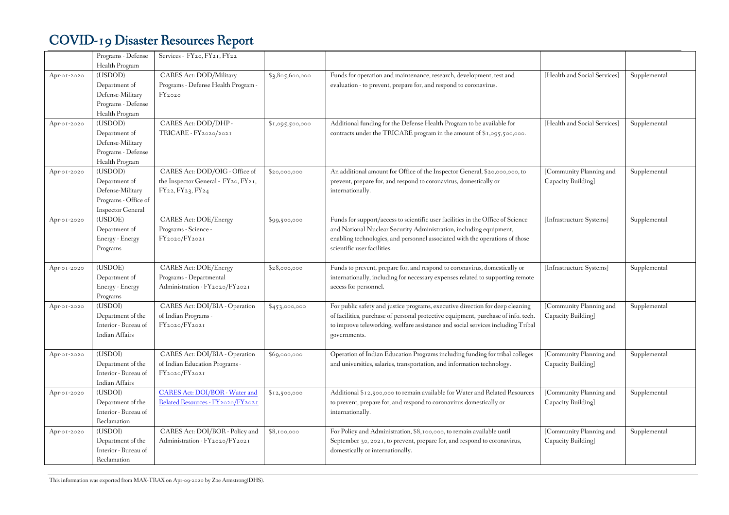|             | Programs - Defense                | Services - FY20, FY21, FY22                   |                 |                                                                                   |                              |              |
|-------------|-----------------------------------|-----------------------------------------------|-----------------|-----------------------------------------------------------------------------------|------------------------------|--------------|
|             | Health Program                    |                                               |                 |                                                                                   |                              |              |
| Apr-01-2020 | (USDOD)                           | CARES Act: DOD/Military                       | \$3,805,600,000 | Funds for operation and maintenance, research, development, test and              | [Health and Social Services] | Supplemental |
|             | Department of<br>Defense-Military | Programs - Defense Health Program -<br>FY2020 |                 | evaluation - to prevent, prepare for, and respond to coronavirus.                 |                              |              |
|             | Programs - Defense                |                                               |                 |                                                                                   |                              |              |
|             | Health Program                    |                                               |                 |                                                                                   |                              |              |
| Apr-01-2020 | (USDOD)                           | CARES Act: DOD/DHP -                          | \$1,095,500,000 | Additional funding for the Defense Health Program to be available for             | [Health and Social Services] | Supplemental |
|             | Department of                     | TRICARE - FY2020/2021                         |                 | contracts under the TRICARE program in the amount of \$1,095,500,000.             |                              |              |
|             | Defense-Military                  |                                               |                 |                                                                                   |                              |              |
|             | Programs - Defense                |                                               |                 |                                                                                   |                              |              |
|             | Health Program                    |                                               |                 |                                                                                   |                              |              |
| Apr-01-2020 | (USDOD)                           | CARES Act: DOD/OIG - Office of                | \$20,000,000    | An additional amount for Office of the Inspector General, \$20,000,000, to        | [Community Planning and      | Supplemental |
|             | Department of                     | the Inspector General - FY20, FY21,           |                 | prevent, prepare for, and respond to coronavirus, domestically or                 | Capacity Building]           |              |
|             | Defense-Military                  | FY22, FY23, FY24                              |                 | internationally.                                                                  |                              |              |
|             | Programs - Office of              |                                               |                 |                                                                                   |                              |              |
|             | <b>Inspector General</b>          |                                               |                 |                                                                                   |                              |              |
| Apr-01-2020 | (USDOE)                           | <b>CARES Act: DOE/Energy</b>                  | \$99,500,000    | Funds for support/access to scientific user facilities in the Office of Science   | [Infrastructure Systems]     | Supplemental |
|             | Department of                     | Programs - Science -                          |                 | and National Nuclear Security Administration, including equipment,                |                              |              |
|             | Energy - Energy                   | FY2020/FY2021                                 |                 | enabling technologies, and personnel associated with the operations of those      |                              |              |
|             | Programs                          |                                               |                 | scientific user facilities.                                                       |                              |              |
| Apr-01-2020 | (USDOE)                           | <b>CARES Act: DOE/Energy</b>                  | \$28,000,000    | Funds to prevent, prepare for, and respond to coronavirus, domestically or        | [Infrastructure Systems]     | Supplemental |
|             | Department of                     | Programs - Departmental                       |                 | internationally, including for necessary expenses related to supporting remote    |                              |              |
|             | Energy - Energy                   | Administration - FY2020/FY2021                |                 | access for personnel.                                                             |                              |              |
|             | Programs                          |                                               |                 |                                                                                   |                              |              |
| Apr-01-2020 | (USDOI)                           | CARES Act: DOI/BIA - Operation                | \$453,000,000   | For public safety and justice programs, executive direction for deep cleaning     | [Community Planning and      | Supplemental |
|             | Department of the                 | of Indian Programs -                          |                 | of facilities, purchase of personal protective equipment, purchase of info. tech. | Capacity Building]           |              |
|             | Interior - Bureau of              | FY2020/FY2021                                 |                 | to improve teleworking, welfare assistance and social services including Tribal   |                              |              |
|             | <b>Indian Affairs</b>             |                                               |                 | governments.                                                                      |                              |              |
| Apr-01-2020 | (USDOI)                           | CARES Act: DOI/BIA - Operation                | \$69,000,000    | Operation of Indian Education Programs including funding for tribal colleges      | [Community Planning and      | Supplemental |
|             | Department of the                 | of Indian Education Programs -                |                 | and universities, salaries, transportation, and information technology.           | Capacity Building]           |              |
|             | Interior - Bureau of              | FY2020/FY2021                                 |                 |                                                                                   |                              |              |
|             | <b>Indian Affairs</b>             |                                               |                 |                                                                                   |                              |              |
| Apr-01-2020 | (USDOI)                           | CARES Act: DOI/BOR - Water and                | \$12,500,000    | Additional \$12,500,000 to remain available for Water and Related Resources       | [Community Planning and      | Supplemental |
|             | Department of the                 | Related Resources - FY2020/FY2021             |                 | to prevent, prepare for, and respond to coronavirus domestically or               | Capacity Building]           |              |
|             | Interior - Bureau of              |                                               |                 | internationally.                                                                  |                              |              |
|             | Reclamation                       |                                               |                 |                                                                                   |                              |              |
| Apr-01-2020 | (USDOI)                           | CARES Act: DOI/BOR - Policy and               | \$8,100,000     | For Policy and Administration, \$8,100,000, to remain available until             | [Community Planning and      | Supplemental |
|             | Department of the                 | Administration - FY2020/FY2021                |                 | September 30, 2021, to prevent, prepare for, and respond to coronavirus,          | Capacity Building]           |              |
|             | Interior - Bureau of              |                                               |                 | domestically or internationally.                                                  |                              |              |
|             | Reclamation                       |                                               |                 |                                                                                   |                              |              |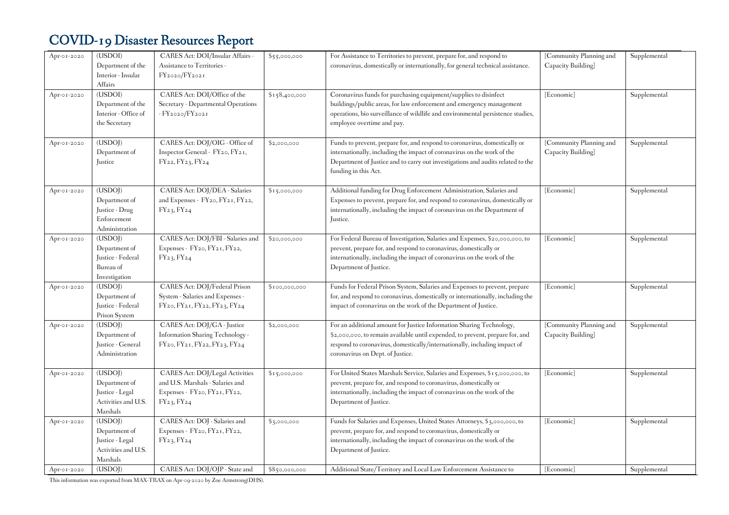| Apr-01-2020 | (USDOI)<br>Department of the<br>Interior - Insular<br>Affairs                  | CARES Act: DOI/Insular Affairs -<br>Assistance to Territories -<br>FY2020/FY2021                                  | \$55,000,000  | For Assistance to Territories to prevent, prepare for, and respond to<br>coronavirus, domestically or internationally, for general technical assistance.                                                                                                               | [Community Planning and<br>Capacity Building] | Supplemental |
|-------------|--------------------------------------------------------------------------------|-------------------------------------------------------------------------------------------------------------------|---------------|------------------------------------------------------------------------------------------------------------------------------------------------------------------------------------------------------------------------------------------------------------------------|-----------------------------------------------|--------------|
| Apr-01-2020 | (USDOI)<br>Department of the<br>Interior - Office of<br>the Secretary          | CARES Act: DOI/Office of the<br>Secretary - Departmental Operations<br>- FY2020/FY2021                            | \$158,400,000 | Coronavirus funds for purchasing equipment/supplies to disinfect<br>buildings/public areas, for law enforcement and emergency management<br>operations, bio surveillance of wildlife and environmental persistence studies,<br>employee overtime and pay.              | [Economic]                                    | Supplemental |
| Apr-01-2020 | (USDOJ)<br>Department of<br>Justice                                            | CARES Act: DOJ/OIG - Office of<br>Inspector General - FY20, FY21,<br>FY22, FY23, FY24                             | \$2,000,000   | Funds to prevent, prepare for, and respond to coronavirus, domestically or<br>internationally, including the impact of coronavirus on the work of the<br>Department of Justice and to carry out investigations and audits related to the<br>funding in this Act.       | [Community Planning and<br>Capacity Building] | Supplemental |
| Apr-01-2020 | (USDOJ)<br>Department of<br>Justice - Drug<br>Enforcement<br>Administration    | CARES Act: DOJ/DEA - Salaries<br>and Expenses - FY20, FY21, FY22,<br>FY23, FY24                                   | \$15,000,000  | Additional funding for Drug Enforcement Administration, Salaries and<br>Expenses to prevent, prepare for, and respond to coronavirus, domestically or<br>internationally, including the impact of coronavirus on the Department of<br>Justice.                         | [Economic]                                    | Supplemental |
| Apr-01-2020 | (USDOJ)<br>Department of<br>Justice - Federal<br>Bureau of<br>Investigation    | CARES Act: DOJ/FBI - Salaries and<br>Expenses - FY20, FY21, FY22,<br>FY23, FY24                                   | \$20,000,000  | For Federal Bureau of Investigation, Salaries and Expenses, \$20,000,000, to<br>prevent, prepare for, and respond to coronavirus, domestically or<br>internationally, including the impact of coronavirus on the work of the<br>Department of Justice.                 | [Economic]                                    | Supplemental |
| Apr-01-2020 | (USDOJ)<br>Department of<br>Justice - Federal<br>Prison System                 | CARES Act: DOJ/Federal Prison<br>System - Salaries and Expenses -<br>FY20, FY21, FY22, FY23, FY24                 | \$100,000,000 | Funds for Federal Prison System, Salaries and Expenses to prevent, prepare<br>for, and respond to coronavirus, domestically or internationally, including the<br>impact of coronavirus on the work of the Department of Justice.                                       | [Economic]                                    | Supplemental |
| Apr-01-2020 | (USDOJ)<br>Department of<br>Justice - General<br>Administration                | CARES Act: DOJ/GA - Justice<br>Information Sharing Technology -<br>FY20, FY21, FY22, FY23, FY24                   | \$2,000,000   | For an additional amount for Justice Information Sharing Technology,<br>\$2,000,000, to remain available until expended, to prevent, prepare for, and<br>respond to coronavirus, domestically/internationally, including impact of<br>coronavirus on Dept. of Justice. | [Community Planning and<br>Capacity Building] | Supplemental |
| Apr-01-2020 | (USDOJ)<br>Department of<br>Justice - Legal<br>Activities and U.S.<br>Marshals | CARES Act: DOJ/Legal Activities<br>and U.S. Marshals - Salaries and<br>Expenses - FY20, FY21, FY22,<br>FY23, FY24 | \$15,000,000  | For United States Marshals Service, Salaries and Expenses, \$15,000,000, to<br>prevent, prepare for, and respond to coronavirus, domestically or<br>internationally, including the impact of coronavirus on the work of the<br>Department of Justice.                  | [Economic]                                    | Supplemental |
| Apr-01-2020 | (USDOJ)<br>Department of<br>Justice - Legal<br>Activities and U.S.<br>Marshals | CARES Act: DOJ - Salaries and<br>Expenses - FY20, FY21, FY22,<br>FY23, FY24                                       | \$3,000,000   | Funds for Salaries and Expenses, United States Attorneys, \$3,000,000, to<br>prevent, prepare for, and respond to coronavirus, domestically or<br>internationally, including the impact of coronavirus on the work of the<br>Department of Justice.                    | [Economic]                                    | Supplemental |
| Apr-01-2020 | (USDOI)                                                                        | CARES Act: DOJ/OJP - State and                                                                                    | \$850,000,000 | Additional State/Territory and Local Law Enforcement Assistance to                                                                                                                                                                                                     | [Economic]                                    | Supplemental |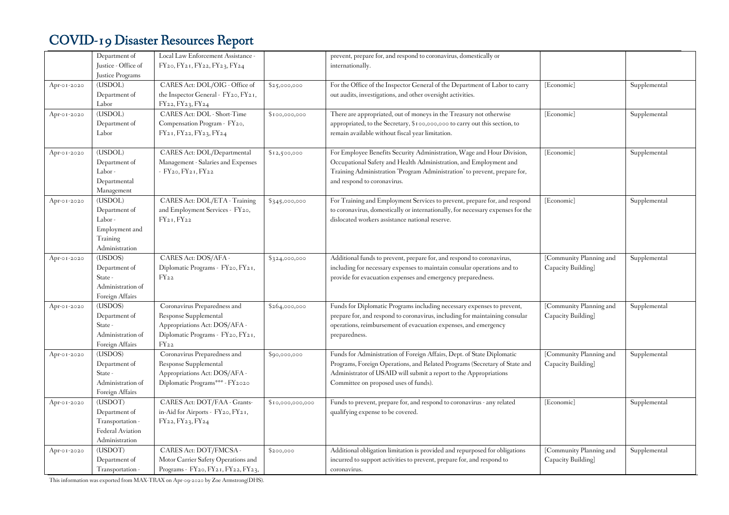|             | Department of<br>Justice - Office of | Local Law Enforcement Assistance -<br>FY20, FY21, FY22, FY23, FY24 |                  | prevent, prepare for, and respond to coronavirus, domestically or<br>internationally. |                         |              |
|-------------|--------------------------------------|--------------------------------------------------------------------|------------------|---------------------------------------------------------------------------------------|-------------------------|--------------|
|             | Justice Programs                     |                                                                    |                  |                                                                                       |                         |              |
| Apr-01-2020 | (USDOL)                              | CARES Act: DOL/OIG - Office of                                     | \$25,000,000     | For the Office of the Inspector General of the Department of Labor to carry           | [Economic]              | Supplemental |
|             | Department of                        | the Inspector General - FY20, FY21,                                |                  | out audits, investigations, and other oversight activities.                           |                         |              |
|             | Labor                                | FY22, FY23, FY24                                                   |                  |                                                                                       |                         |              |
| Apr-01-2020 | (USDOL)                              | CARES Act: DOL - Short-Time                                        | \$100,000,000    | There are appropriated, out of moneys in the Treasury not otherwise                   | [Economic]              | Supplemental |
|             | Department of                        | Compensation Program - FY20,                                       |                  | appropriated, to the Secretary, \$100,000,000 to carry out this section, to           |                         |              |
|             | Labor                                | FY21, FY22, FY23, FY24                                             |                  | remain available without fiscal year limitation.                                      |                         |              |
|             |                                      |                                                                    |                  |                                                                                       |                         |              |
| Apr-01-2020 | (USDOL)                              | CARES Act: DOL/Departmental                                        | \$12,500,000     | For Employee Benefits Security Administration, Wage and Hour Division,                | [Economic]              | Supplemental |
|             | Department of                        | Management - Salaries and Expenses                                 |                  | Occupational Safety and Health Administration, and Employment and                     |                         |              |
|             | Labor-                               | $-FY_{20}$ , $FY_{21}$ , $FY_{22}$                                 |                  | Training Administration "Program Administration" to prevent, prepare for,             |                         |              |
|             | Departmental                         |                                                                    |                  | and respond to coronavirus.                                                           |                         |              |
|             | Management                           |                                                                    |                  |                                                                                       |                         |              |
| Apr-01-2020 | (USDOL)                              | CARES Act: DOL/ETA - Training                                      | \$345,000,000    | For Training and Employment Services to prevent, prepare for, and respond             | [Economic]              | Supplemental |
|             | Department of                        | and Employment Services - FY20,                                    |                  | to coronavirus, domestically or internationally, for necessary expenses for the       |                         |              |
|             | Labor-                               | $FY_{21}$ , $FY_{22}$                                              |                  | dislocated workers assistance national reserve.                                       |                         |              |
|             | Employment and                       |                                                                    |                  |                                                                                       |                         |              |
|             | Training                             |                                                                    |                  |                                                                                       |                         |              |
|             | Administration                       |                                                                    |                  |                                                                                       |                         |              |
| Apr-01-2020 | (USDOS)                              | CARES Act: DOS/AFA -                                               | \$324,000,000    | Additional funds to prevent, prepare for, and respond to coronavirus,                 | [Community Planning and | Supplemental |
|             | Department of                        | Diplomatic Programs - FY20, FY21,                                  |                  | including for necessary expenses to maintain consular operations and to               | Capacity Building]      |              |
|             | State -                              | $FY_{22}$                                                          |                  | provide for evacuation expenses and emergency preparedness.                           |                         |              |
|             | Administration of                    |                                                                    |                  |                                                                                       |                         |              |
|             | Foreign Affairs                      |                                                                    |                  |                                                                                       |                         |              |
| Apr-01-2020 | (USDOS)                              | Coronavirus Preparedness and                                       | \$264,000,000    | Funds for Diplomatic Programs including necessary expenses to prevent,                | [Community Planning and | Supplemental |
|             | Department of                        | Response Supplemental                                              |                  | prepare for, and respond to coronavirus, including for maintaining consular           | Capacity Building]      |              |
|             | State -                              | Appropriations Act: DOS/AFA -                                      |                  | operations, reimbursement of evacuation expenses, and emergency                       |                         |              |
|             | Administration of                    | Diplomatic Programs - FY20, FY21,                                  |                  | preparedness.                                                                         |                         |              |
|             | Foreign Affairs                      | $FY_{22}$                                                          |                  |                                                                                       |                         |              |
| Apr-01-2020 | (USDOS)                              | Coronavirus Preparedness and                                       | \$90,000,000     | Funds for Administration of Foreign Affairs, Dept. of State Diplomatic                | [Community Planning and | Supplemental |
|             | Department of                        | Response Supplemental                                              |                  | Programs, Foreign Operations, and Related Programs (Secretary of State and            | Capacity Building]      |              |
|             | State -                              | Appropriations Act: DOS/AFA -                                      |                  | Administrator of USAID will submit a report to the Appropriations                     |                         |              |
|             | Administration of                    | Diplomatic Programs*** - FY2020                                    |                  | Committee on proposed uses of funds).                                                 |                         |              |
|             | Foreign Affairs                      |                                                                    |                  |                                                                                       |                         |              |
| Apr-01-2020 | (USDOT)                              | CARES Act: DOT/FAA - Grants-                                       | \$10,000,000,000 | Funds to prevent, prepare for, and respond to coronavirus - any related               | [Economic]              | Supplemental |
|             | Department of                        | in-Aid for Airports - FY20, FY21,                                  |                  | qualifying expense to be covered.                                                     |                         |              |
|             | Transportation -                     | FY22, FY23, FY24                                                   |                  |                                                                                       |                         |              |
|             | Federal Aviation                     |                                                                    |                  |                                                                                       |                         |              |
|             | Administration                       |                                                                    |                  |                                                                                       |                         |              |
| Apr-01-2020 | (USDOT)                              | CARES Act: DOT/FMCSA-                                              | \$200,000        | Additional obligation limitation is provided and repurposed for obligations           | [Community Planning and | Supplemental |
|             | Department of                        | Motor Carrier Safety Operations and                                |                  | incurred to support activities to prevent, prepare for, and respond to                | Capacity Building]      |              |
|             | Transportation -                     | Programs - FY20, FY21, FY22, FY23,                                 |                  | coronavirus.                                                                          |                         |              |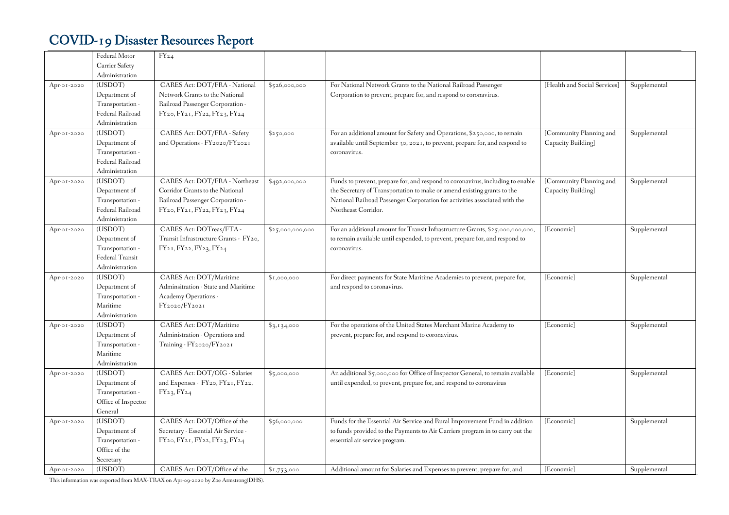|             | Federal Motor       | $FY_{24}$                             |                  |                                                                                |                              |              |
|-------------|---------------------|---------------------------------------|------------------|--------------------------------------------------------------------------------|------------------------------|--------------|
|             | Carrier Safety      |                                       |                  |                                                                                |                              |              |
|             | Administration      |                                       |                  |                                                                                |                              |              |
| Apr-01-2020 | (USDOT)             | CARES Act: DOT/FRA - National         | \$526,000,000    | For National Network Grants to the National Railroad Passenger                 | [Health and Social Services] | Supplemental |
|             | Department of       | Network Grants to the National        |                  | Corporation to prevent, prepare for, and respond to coronavirus.               |                              |              |
|             | Transportation -    | Railroad Passenger Corporation -      |                  |                                                                                |                              |              |
|             | Federal Railroad    | FY20, FY21, FY22, FY23, FY24          |                  |                                                                                |                              |              |
|             | Administration      |                                       |                  |                                                                                |                              |              |
| Apr-01-2020 | (USDOT)             | CARES Act: DOT/FRA - Safety           | \$250,000        | For an additional amount for Safety and Operations, \$250,000, to remain       | [Community Planning and      | Supplemental |
|             | Department of       | and Operations - FY2020/FY2021        |                  | available until September 30, 2021, to prevent, prepare for, and respond to    | Capacity Building]           |              |
|             | Transportation -    |                                       |                  | coronavirus.                                                                   |                              |              |
|             | Federal Railroad    |                                       |                  |                                                                                |                              |              |
|             | Administration      |                                       |                  |                                                                                |                              |              |
| Apr-01-2020 | (USDOT)             | CARES Act: DOT/FRA - Northeast        | \$492,000,000    | Funds to prevent, prepare for, and respond to coronavirus, including to enable | [Community Planning and      | Supplemental |
|             | Department of       | Corridor Grants to the National       |                  | the Secretary of Transportation to make or amend existing grants to the        | Capacity Building]           |              |
|             | Transportation -    | Railroad Passenger Corporation -      |                  | National Railroad Passenger Corporation for activities associated with the     |                              |              |
|             | Federal Railroad    | FY20, FY21, FY22, FY23, FY24          |                  | Northeast Corridor.                                                            |                              |              |
|             | Administration      |                                       |                  |                                                                                |                              |              |
| Apr-01-2020 | (USDOT)             | CARES Act: DOTreas/FTA -              | \$25,000,000,000 | For an additional amount for Transit Infrastructure Grants, \$25,000,000,000,  | [Economic]                   | Supplemental |
|             | Department of       | Transit Infrastructure Grants - FY20, |                  | to remain available until expended, to prevent, prepare for, and respond to    |                              |              |
|             | Transportation -    | FY21, FY22, FY23, FY24                |                  | coronavirus.                                                                   |                              |              |
|             | Federal Transit     |                                       |                  |                                                                                |                              |              |
|             | Administration      |                                       |                  |                                                                                |                              |              |
| Apr-01-2020 | (USDOT)             | CARES Act: DOT/Maritime               | \$1,000,000      | For direct payments for State Maritime Academies to prevent, prepare for,      | [Economic]                   | Supplemental |
|             | Department of       | Adminsitration - State and Maritime   |                  | and respond to coronavirus.                                                    |                              |              |
|             | Transportation -    | Academy Operations -                  |                  |                                                                                |                              |              |
|             | Maritime            | FY2020/FY2021                         |                  |                                                                                |                              |              |
|             | Administration      |                                       |                  |                                                                                |                              |              |
| Apr-01-2020 | (USDOT)             | CARES Act: DOT/Maritime               | \$3,134,000      | For the operations of the United States Merchant Marine Academy to             | [Economic]                   | Supplemental |
|             | Department of       | Administration - Operations and       |                  | prevent, prepare for, and respond to coronavirus.                              |                              |              |
|             | Transportation -    | Training - FY2020/FY2021              |                  |                                                                                |                              |              |
|             | Maritime            |                                       |                  |                                                                                |                              |              |
|             | Administration      |                                       |                  |                                                                                |                              |              |
| Apr-01-2020 | (USDOT)             | CARES Act: DOT/OIG - Salaries         | \$5,000,000      | An additional \$5,000,000 for Office of Inspector General, to remain available | [Economic]                   | Supplemental |
|             | Department of       | and Expenses - FY20, FY21, FY22,      |                  | until expended, to prevent, prepare for, and respond to coronavirus            |                              |              |
|             | Transportation -    | FY23, FY24                            |                  |                                                                                |                              |              |
|             | Office of Inspector |                                       |                  |                                                                                |                              |              |
|             | General             |                                       |                  |                                                                                |                              |              |
| Apr-01-2020 | (USDOT)             | CARES Act: DOT/Office of the          | \$56,000,000     | Funds for the Essential Air Service and Rural Improvement Fund in addition     | [Economic]                   | Supplemental |
|             | Department of       | Secretary - Essential Air Service -   |                  | to funds provided to the Payments to Air Carriers program in to carry out the  |                              |              |
|             | Transportation -    | FY20, FY21, FY22, FY23, FY24          |                  | essential air service program.                                                 |                              |              |
|             | Office of the       |                                       |                  |                                                                                |                              |              |
|             | Secretary           |                                       |                  |                                                                                |                              |              |
| Apr-01-2020 | (USDOT)             | CARES Act: DOT/Office of the          | \$1,753,000      | Additional amount for Salaries and Expenses to prevent, prepare for, and       | [Economic]                   | Supplemental |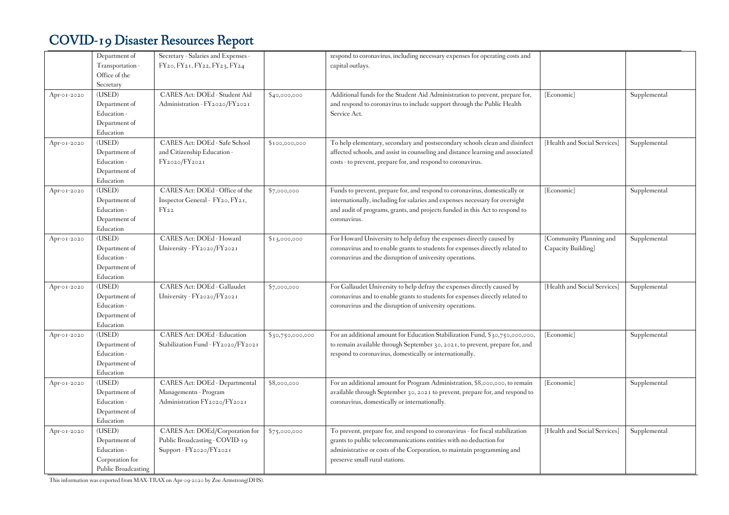|             | Department of       | Secretary - Salaries and Expenses - |                  | respond to coronavirus, including necessary expenses for operating costs and    |                              |              |
|-------------|---------------------|-------------------------------------|------------------|---------------------------------------------------------------------------------|------------------------------|--------------|
|             | Transportation -    | FY20, FY21, FY22, FY23, FY24        |                  | capital outlays.                                                                |                              |              |
|             | Office of the       |                                     |                  |                                                                                 |                              |              |
|             | Secretary           |                                     |                  |                                                                                 |                              |              |
| Apr-01-2020 | (USED)              | CARES Act: DOEd - Student Aid       | \$40,000,000     | Additional funds for the Student Aid Administration to prevent, prepare for,    | [Economic]                   | Supplemental |
|             | Department of       | Administration - FY2020/FY2021      |                  | and respond to coronavirus to include support through the Public Health         |                              |              |
|             | Education -         |                                     |                  | Service Act.                                                                    |                              |              |
|             | Department of       |                                     |                  |                                                                                 |                              |              |
|             | Education           |                                     |                  |                                                                                 |                              |              |
| Apr-01-2020 | (USED)              | CARES Act: DOEd - Safe School       | \$100,000,000    | To help elementary, secondary and postsecondary schools clean and disinfect     | [Health and Social Services] | Supplemental |
|             | Department of       | and Citizenship Education -         |                  | affected schools, and assist in counseling and distance learning and associated |                              |              |
|             | Education -         | FY2020/FY2021                       |                  | costs - to prevent, prepare for, and respond to coronavirus.                    |                              |              |
|             | Department of       |                                     |                  |                                                                                 |                              |              |
|             | Education           |                                     |                  |                                                                                 |                              |              |
| Apr-01-2020 | (USED)              | CARES Act: DOEd - Office of the     | \$7,000,000      | Funds to prevent, prepare for, and respond to coronavirus, domestically or      | [Economic]                   | Supplemental |
|             | Department of       | Inspector General - FY20, FY21,     |                  | internationally, including for salaries and expenses necessary for oversight    |                              |              |
|             | Education -         | $FY_{22}$                           |                  | and audit of programs, grants, and projects funded in this Act to respond to    |                              |              |
|             | Department of       |                                     |                  | coronavirus.                                                                    |                              |              |
|             | Education           |                                     |                  |                                                                                 |                              |              |
| Apr-01-2020 | (USED)              | CARES Act: DOEd - Howard            | \$13,000,000     | For Howard University to help defray the expenses directly caused by            | [Community Planning and      | Supplemental |
|             | Department of       | University - FY2020/FY2021          |                  | coronavirus and to enable grants to students for expenses directly related to   | Capacity Building]           |              |
|             | Education -         |                                     |                  | coronavirus and the disruption of university operations.                        |                              |              |
|             | Department of       |                                     |                  |                                                                                 |                              |              |
|             | Education           |                                     |                  |                                                                                 |                              |              |
| Apr-01-2020 | (USED)              | CARES Act: DOEd - Gallaudet         | \$7,000,000      | For Gallaudet University to help defray the expenses directly caused by         | [Health and Social Services] | Supplemental |
|             | Department of       | University - FY2020/FY2021          |                  | coronavirus and to enable grants to students for expenses directly related to   |                              |              |
|             | Education -         |                                     |                  | coronavirus and the disruption of university operations.                        |                              |              |
|             | Department of       |                                     |                  |                                                                                 |                              |              |
|             | Education           |                                     |                  |                                                                                 |                              |              |
| Apr-01-2020 | (USED)              | CARES Act: DOEd - Education         | \$30,750,000,000 | For an additional amount for Education Stabilization Fund, \$30,750,000,000,    | [Economic]                   | Supplemental |
|             | Department of       | Stabilization Fund - FY2020/FY2021  |                  | to remain available through September 30, 2021, to prevent, prepare for, and    |                              |              |
|             | Education -         |                                     |                  | respond to coronavirus, domestically or internationally.                        |                              |              |
|             | Department of       |                                     |                  |                                                                                 |                              |              |
|             | Education           |                                     |                  |                                                                                 |                              |              |
| Apr-01-2020 | (USED)              | CARES Act: DOEd - Departmental      | \$8,000,000      | For an additional amount for Program Administration, \$8,000,000, to remain     | [Economic]                   | Supplemental |
|             | Department of       | Managementn - Program               |                  | available through September 30, 2021 to prevent, prepare for, and respond to    |                              |              |
|             | Education -         | Administration FY2020/FY2021        |                  | coronavirus, domestically or internationally.                                   |                              |              |
|             | Department of       |                                     |                  |                                                                                 |                              |              |
|             | Education           |                                     |                  |                                                                                 |                              |              |
| Apr-01-2020 | (USED)              | CARES Act: DOEd/Corporation for     | \$75,000,000     | To prevent, prepare for, and respond to coronavirus - for fiscal stabilization  | [Health and Social Services] | Supplemental |
|             | Department of       | Public Broadcasting - COVID-19      |                  | grants to public telecommunications entities with no deduction for              |                              |              |
|             | Education -         | Support - FY2020/FY2021             |                  | administrative or costs of the Corporation, to maintain programming and         |                              |              |
|             | Corporation for     |                                     |                  | preserve small rural stations.                                                  |                              |              |
|             | Public Broadcasting |                                     |                  |                                                                                 |                              |              |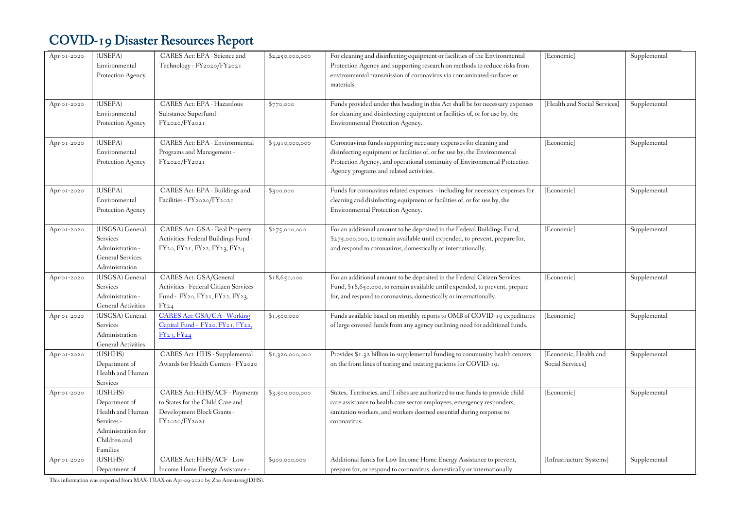| Apr-01-2020 | (USEPA)<br>Environmental<br>Protection Agency                                                                | CARES Act: EPA - Science and<br>Technology - FY2020/FY2021                                                       | \$2,250,000,000 | For cleaning and disinfecting equipment or facilities of the Environmental<br>Protection Agency and supporting research on methods to reduce risks from<br>environmental transmission of coronavirus via contaminated surfaces or<br>materials.                        | [Economic]                                | Supplemental |
|-------------|--------------------------------------------------------------------------------------------------------------|------------------------------------------------------------------------------------------------------------------|-----------------|------------------------------------------------------------------------------------------------------------------------------------------------------------------------------------------------------------------------------------------------------------------------|-------------------------------------------|--------------|
| Apr-01-2020 | (USEPA)<br>Environmental<br>Protection Agency                                                                | CARES Act: EPA - Hazardous<br>Substance Superfund -<br>FY2020/FY2021                                             | \$770,000       | Funds provided under this heading in this Act shall be for necessary expenses<br>for cleaning and disinfecting equipment or facilities of, or for use by, the<br>Environmental Protection Agency.                                                                      | [Health and Social Services]              | Supplemental |
| Apr-01-2020 | (USEPA)<br>Environmental<br>Protection Agency                                                                | CARES Act: EPA - Environmental<br>Programs and Management -<br>FY2020/FY2021                                     | \$3,910,000,000 | Coronoavirus funds supporting necessary expenses for cleaning and<br>disinfecting equipment or facilities of, or for use by, the Environmental<br>Protection Agency, and operational continuity of Environmental Protection<br>Agency programs and related activities. | [Economic]                                | Supplemental |
| Apr-01-2020 | (USEPA)<br>Environmental<br>Protection Agency                                                                | CARES Act: EPA - Buildings and<br>Facilities - FY2020/FY2021                                                     | \$300,000       | Funds for coronavirus related expenses - including for necessary expenses for<br>cleaning and disinfecting equipment or facilities of, or for use by, the<br>Environmental Protection Agency.                                                                          | [Economic]                                | Supplemental |
| Apr-01-2020 | (USGSA) General<br>Services<br>Administration -<br><b>General Services</b><br>Administration                 | CARES Act: GSA - Real Property<br>Activities: Federal Buildings Fund -<br>FY20, FY21, FY22, FY23, FY24           | \$275,000,000   | For an additional amount to be deposited in the Federal Buildings Fund,<br>\$275,000,000, to remain available until expended, to prevent, prepare for,<br>and respond to coronavirus, domestically or internationally.                                                 | [Economic]                                | Supplemental |
| Apr-01-2020 | (USGSA) General<br>Services<br>Administration -<br><b>General Activities</b>                                 | CARES Act: GSA/General<br>Activities - Federal Citizen Services<br>Fund - FY20, FY21, FY22, FY23,<br>$FY_{24}$   | \$18,650,000    | For an additional amount to be deposited in the Federal Citizen Services<br>Fund, \$18,650,000, to remain available until expended, to prevent, prepare<br>for, and respond to coronavirus, domestically or internationally.                                           | [Economic]                                | Supplemental |
| Apr-01-2020 | (USGSA) General<br>Services<br>Administration -<br><b>General Activities</b>                                 | CARES Act: GSA/GA - Working<br>Capital Fund - FY20, FY21, FY22,<br>$FY_{23}$ , $FY_{24}$                         | \$1,500,000     | Funds available based on monthly reports to OMB of COVID-19 expeditures<br>of large covered funds from any agency outlining need for additional funds.                                                                                                                 | [Economic]                                | Supplemental |
| Apr-01-2020 | (USHHS)<br>Department of<br>Health and Human<br>Services                                                     | CARES Act: HHS - Supplemental<br>Awards for Health Centers - FY2020                                              | \$1,320,000,000 | Provides \$1.32 billion in supplemental funding to community health centers<br>on the front lines of testing and treating patients for COVID-19.                                                                                                                       | [Economic, Health and<br>Social Services] | Supplemental |
| Apr-01-2020 | (USHHS)<br>Department of<br>Health and Human<br>Services -<br>Administration for<br>Children and<br>Families | CARES Act: HHS/ACF - Payments<br>to States for the Child Care and<br>Development Block Grants -<br>FY2020/FY2021 | \$3,500,000,000 | States, Territories, and Tribes are authorized to use funds to provide child<br>care assistance to health care sector employees, emergency responders,<br>sanitation workers, and workers deemed essential during response to<br>coronavirus.                          | [Economic]                                | Supplemental |
| Apr-01-2020 | (USHHS)<br>Department of                                                                                     | CARES Act: HHS/ACF - Low<br>Income Home Energy Assistance -                                                      | \$900,000,000   | Additional funds for Low Income Home Energy Assistance to prevent,<br>prepare for, or respond to coronavirus, domestically or internationally.                                                                                                                         | [Infrastructure Systems]                  | Supplemental |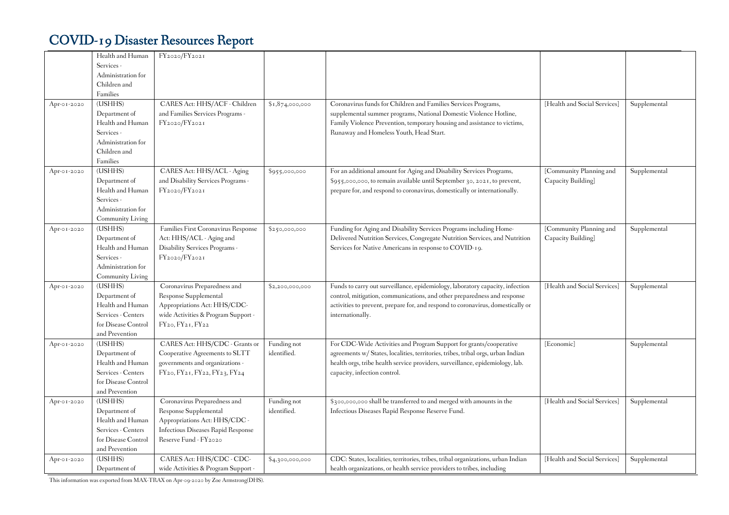|             | Health and Human                  | FY2020/FY2021                       |                 |                                                                                  |                              |              |
|-------------|-----------------------------------|-------------------------------------|-----------------|----------------------------------------------------------------------------------|------------------------------|--------------|
|             | Services -                        |                                     |                 |                                                                                  |                              |              |
|             | Administration for                |                                     |                 |                                                                                  |                              |              |
|             | Children and                      |                                     |                 |                                                                                  |                              |              |
|             | Families                          |                                     |                 |                                                                                  |                              |              |
| Apr-01-2020 | (USHHS)                           | CARES Act: HHS/ACF - Children       | \$1,874,000,000 | Coronavirus funds for Children and Families Services Programs,                   | [Health and Social Services] | Supplemental |
|             | Department of                     | and Families Services Programs -    |                 | supplemental summer programs, National Domestic Violence Hotline,                |                              |              |
|             | Health and Human                  | FY2020/FY2021                       |                 | Family Violence Prevention, temporary housing and assistance to victims,         |                              |              |
|             | Services -                        |                                     |                 | Runaway and Homeless Youth, Head Start.                                          |                              |              |
|             | Administration for                |                                     |                 |                                                                                  |                              |              |
|             | Children and                      |                                     |                 |                                                                                  |                              |              |
|             | Families                          |                                     |                 |                                                                                  |                              |              |
| Apr-01-2020 | (USHHS)                           | CARES Act: HHS/ACL - Aging          | \$955,000,000   | For an additional amount for Aging and Disability Services Programs,             | [Community Planning and      | Supplemental |
|             |                                   | and Disability Services Programs -  |                 | \$955,000,000, to remain available until September 30, 2021, to prevent,         | Capacity Building]           |              |
|             | Department of<br>Health and Human | FY2020/FY2021                       |                 | prepare for, and respond to coronavirus, domestically or internationally.        |                              |              |
|             | Services -                        |                                     |                 |                                                                                  |                              |              |
|             | Administration for                |                                     |                 |                                                                                  |                              |              |
|             | Community Living                  |                                     |                 |                                                                                  |                              |              |
| Apr-01-2020 | (USHHS)                           | Families First Coronavirus Response |                 | Funding for Aging and Disability Services Programs including Home-               | [Community Planning and      | Supplemental |
|             | Department of                     | Act: HHS/ACL - Aging and            | \$250,000,000   | Delivered Nutrition Services, Congregate Nutrition Services, and Nutrition       | Capacity Building]           |              |
|             | Health and Human                  | Disability Services Programs -      |                 | Services for Native Americans in response to COVID-19.                           |                              |              |
|             | Services -                        | FY2020/FY2021                       |                 |                                                                                  |                              |              |
|             | Administration for                |                                     |                 |                                                                                  |                              |              |
|             | Community Living                  |                                     |                 |                                                                                  |                              |              |
| Apr-01-2020 | (USHHS)                           | Coronavirus Preparedness and        | \$2,200,000,000 | Funds to carry out surveillance, epidemiology, laboratory capacity, infection    | [Health and Social Services] | Supplemental |
|             | Department of                     | Response Supplemental               |                 | control, mitigation, communications, and other preparedness and response         |                              |              |
|             | Health and Human                  | Appropriations Act: HHS/CDC-        |                 | activities to prevent, prepare for, and respond to coronavirus, domestically or  |                              |              |
|             | Services - Centers                | wide Activities & Program Support - |                 | internationally.                                                                 |                              |              |
|             | for Disease Control               | FY20, FY21, FY22                    |                 |                                                                                  |                              |              |
|             | and Prevention                    |                                     |                 |                                                                                  |                              |              |
| Apr-01-2020 | (USHHS)                           | CARES Act: HHS/CDC - Grants or      | Funding not     | For CDC-Wide Activities and Program Support for grants/cooperative               | [Economic]                   | Supplemental |
|             | Department of                     | Cooperative Agreements to SLTT      | identified.     | agreements w/ States, localities, territories, tribes, tribal orgs, urban Indian |                              |              |
|             | Health and Human                  | governments and organizations -     |                 | health orgs, tribe health service providers, surveillance, epidemiology, lab.    |                              |              |
|             | Services - Centers                | FY20, FY21, FY22, FY23, FY24        |                 | capacity, infection control.                                                     |                              |              |
|             | for Disease Control               |                                     |                 |                                                                                  |                              |              |
|             | and Prevention                    |                                     |                 |                                                                                  |                              |              |
| Apr-01-2020 | (USHHS)                           | Coronavirus Preparedness and        | Funding not     | \$300,000,000 shall be transferred to and merged with amounts in the             | [Health and Social Services] | Supplemental |
|             | Department of                     | Response Supplemental               | identified.     | Infectious Diseases Rapid Response Reserve Fund.                                 |                              |              |
|             | Health and Human                  | Appropriations Act: HHS/CDC -       |                 |                                                                                  |                              |              |
|             | Services - Centers                | Infectious Diseases Rapid Response  |                 |                                                                                  |                              |              |
|             | for Disease Control               | Reserve Fund - FY2020               |                 |                                                                                  |                              |              |
|             | and Prevention                    |                                     |                 |                                                                                  |                              |              |
| Apr-01-2020 | (USHHS)                           | CARES Act: HHS/CDC - CDC-           | \$4,300,000,000 | CDC: States, localities, territories, tribes, tribal organizations, urban Indian | [Health and Social Services] | Supplemental |
|             | Department of                     | wide Activities & Program Support - |                 | health organizations, or health service providers to tribes, including           |                              |              |
|             |                                   |                                     |                 |                                                                                  |                              |              |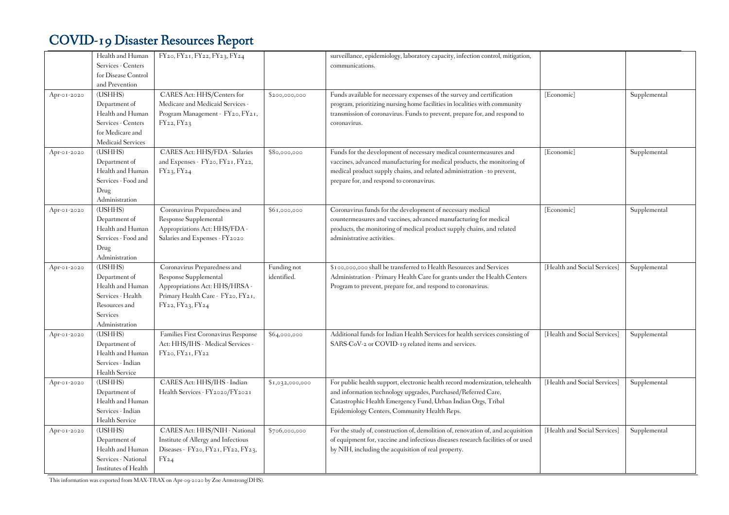|             | Health and Human                            | FY20, FY21, FY22, FY23, FY24                           |                 | surveillance, epidemiology, laboratory capacity, infection control, mitigation,                                                                          |                              |              |
|-------------|---------------------------------------------|--------------------------------------------------------|-----------------|----------------------------------------------------------------------------------------------------------------------------------------------------------|------------------------------|--------------|
|             | Services - Centers<br>for Disease Control   |                                                        |                 | communications.                                                                                                                                          |                              |              |
|             | and Prevention                              |                                                        |                 |                                                                                                                                                          |                              |              |
|             |                                             | CARES Act: HHS/Centers for                             |                 |                                                                                                                                                          |                              |              |
| Apr-01-2020 | (USHHS)                                     |                                                        | \$200,000,000   | Funds available for necessary expenses of the survey and certification                                                                                   | [Economic]                   | Supplemental |
|             | Department of                               | Medicare and Medicaid Services -                       |                 | program, prioritizing nursing home facilities in localities with community<br>transmission of coronavirus. Funds to prevent, prepare for, and respond to |                              |              |
|             | Health and Human                            | Program Management - FY20, FY21,                       |                 |                                                                                                                                                          |                              |              |
|             | Services - Centers<br>for Medicare and      | FY22, FY23                                             |                 | coronavirus.                                                                                                                                             |                              |              |
|             | <b>Medicaid Services</b>                    |                                                        |                 |                                                                                                                                                          |                              |              |
|             | (USHHS)                                     | CARES Act: HHS/FDA - Salaries                          |                 | Funds for the development of necessary medical countermeasures and                                                                                       | [Economic]                   | Supplemental |
| Apr-01-2020 | Department of                               | and Expenses - FY20, FY21, FY22,                       | \$80,000,000    | vaccines, advanced manufacturing for medical products, the monitoring of                                                                                 |                              |              |
|             | Health and Human                            | FY23, FY24                                             |                 | medical product supply chains, and related administration - to prevent,                                                                                  |                              |              |
|             | Services - Food and                         |                                                        |                 | prepare for, and respond to coronavirus.                                                                                                                 |                              |              |
|             | Drug                                        |                                                        |                 |                                                                                                                                                          |                              |              |
|             | $\label{10}$ Administration                 |                                                        |                 |                                                                                                                                                          |                              |              |
| Apr-01-2020 | (USHHS)                                     | Coronavirus Preparedness and                           | \$61,000,000    | Coronavirus funds for the development of necessary medical                                                                                               | [Economic]                   | Supplemental |
|             | Department of                               | Response Supplemental                                  |                 | countermeasures and vaccines, advanced manufacturing for medical                                                                                         |                              |              |
|             | Health and Human                            | Appropriations Act: HHS/FDA -                          |                 | products, the monitoring of medical product supply chains, and related                                                                                   |                              |              |
|             | Services - Food and                         | Salaries and Expenses - FY2020                         |                 | administrative activities.                                                                                                                               |                              |              |
|             | Drug                                        |                                                        |                 |                                                                                                                                                          |                              |              |
|             | Administration                              |                                                        |                 |                                                                                                                                                          |                              |              |
| Apr-01-2020 | (USHHS)                                     | Coronavirus Preparedness and                           | Funding not     | \$100,000,000 shall be transferred to Health Resources and Services                                                                                      | [Health and Social Services] | Supplemental |
|             | Department of                               | Response Supplemental                                  | identified.     | Administration - Primary Health Care for grants under the Health Centers                                                                                 |                              |              |
|             | Health and Human                            | Appropriations Act: HHS/HRSA -                         |                 | Program to prevent, prepare for, and respond to coronavirus.                                                                                             |                              |              |
|             | Services - Health                           | Primary Health Care - FY20, FY21,                      |                 |                                                                                                                                                          |                              |              |
|             | Resources and                               | FY22, FY23, FY24                                       |                 |                                                                                                                                                          |                              |              |
|             | <b>Services</b>                             |                                                        |                 |                                                                                                                                                          |                              |              |
|             |                                             |                                                        |                 |                                                                                                                                                          |                              |              |
|             | Administration                              |                                                        |                 |                                                                                                                                                          |                              |              |
| Apr-01-2020 | (USHHS)                                     | Families First Coronavirus Response                    | \$64,000,000    | Additional funds for Indian Health Services for health services consisting of                                                                            | [Health and Social Services] | Supplemental |
|             | Department of                               | Act: HHS/IHS - Medical Services -                      |                 | SARS-CoV-2 or COVID-19 related items and services.                                                                                                       |                              |              |
|             | Health and Human                            | FY <sub>20</sub> , FY <sub>21</sub> , FY <sub>22</sub> |                 |                                                                                                                                                          |                              |              |
|             | Services - Indian                           |                                                        |                 |                                                                                                                                                          |                              |              |
|             | Health Service                              |                                                        |                 |                                                                                                                                                          |                              |              |
| Apr-01-2020 | (USHHS)                                     | CARES Act: HHS/IHS - Indian                            | \$1,032,000,000 | For public health support, electronic health record modernization, telehealth                                                                            | [Health and Social Services] | Supplemental |
|             | Department of                               | Health Services - FY2020/FY2021                        |                 | and information technology upgrades, Purchased/Referred Care,                                                                                            |                              |              |
|             | Health and Human                            |                                                        |                 | Catastrophic Health Emergency Fund, Urban Indian Orgs, Tribal                                                                                            |                              |              |
|             | Services - Indian                           |                                                        |                 | Epidemiology Centers, Community Health Reps.                                                                                                             |                              |              |
|             | Health Service                              |                                                        |                 |                                                                                                                                                          |                              |              |
| Apr-01-2020 | (USHHS)                                     | CARES Act: HHS/NIH - National                          | \$706,000,000   | For the study of, construction of, demolition of, renovation of, and acquisition                                                                         | [Health and Social Services] | Supplemental |
|             | Department of                               | Institute of Allergy and Infectious                    |                 | of equipment for, vaccine and infectious diseases research facilities of or used                                                                         |                              |              |
|             | Health and Human                            | Diseases - FY20, FY21, FY22, FY23,                     |                 | by NIH, including the acquisition of real property.                                                                                                      |                              |              |
|             | Services - National<br>Institutes of Health | $FY_{24}$                                              |                 |                                                                                                                                                          |                              |              |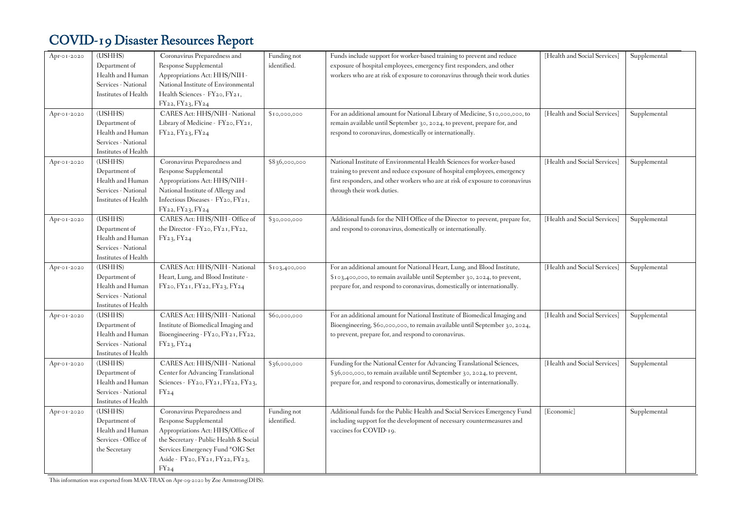| Apr-01-2020 | (USHHS)                           | Coronavirus Preparedness and                                              | Funding not   | Funds include support for worker-based training to prevent and reduce                                                               | [Health and Social Services] | Supplemental |
|-------------|-----------------------------------|---------------------------------------------------------------------------|---------------|-------------------------------------------------------------------------------------------------------------------------------------|------------------------------|--------------|
|             | Department of                     | Response Supplemental                                                     | identified.   | exposure of hospital employees, emergency first responders, and other                                                               |                              |              |
|             | Health and Human                  | Appropriations Act: HHS/NIH -                                             |               | workers who are at risk of exposure to coronavirus through their work duties                                                        |                              |              |
|             | Services - National               | National Institute of Environmental                                       |               |                                                                                                                                     |                              |              |
|             | Institutes of Health              | Health Sciences - FY20, FY21,                                             |               |                                                                                                                                     |                              |              |
|             |                                   | FY22, FY23, FY24                                                          |               |                                                                                                                                     |                              |              |
| Apr-01-2020 | (USHHS)                           | CARES Act: HHS/NIH - National                                             | \$10,000,000  | For an additional amount for National Library of Medicine, \$10,000,000, to                                                         | [Health and Social Services] | Supplemental |
|             | Department of                     | Library of Medicine - FY20, FY21,                                         |               | remain available until September 30, 2024, to prevent, prepare for, and                                                             |                              |              |
|             | Health and Human                  | FY22, FY23, FY24                                                          |               | respond to coronavirus, domestically or internationally.                                                                            |                              |              |
|             | Services - National               |                                                                           |               |                                                                                                                                     |                              |              |
|             | Institutes of Health              |                                                                           |               |                                                                                                                                     |                              |              |
| Apr-01-2020 | (USHHS)                           | Coronavirus Preparedness and                                              | \$836,000,000 | National Institute of Environmental Health Sciences for worker-based                                                                | [Health and Social Services] | Supplemental |
|             | Department of                     | Response Supplemental                                                     |               | training to prevent and reduce exposure of hospital employees, emergency                                                            |                              |              |
|             | Health and Human                  | Appropriations Act: HHS/NIH -                                             |               | first responders, and other workers who are at risk of exposure to coronavirus                                                      |                              |              |
|             | Services - National               | National Institute of Allergy and                                         |               | through their work duties.                                                                                                          |                              |              |
|             | Institutes of Health              | Infectious Diseases - FY20, FY21,                                         |               |                                                                                                                                     |                              |              |
|             |                                   | FY22, FY23, FY24                                                          |               |                                                                                                                                     |                              |              |
| Apr-01-2020 | (USHHS)                           | CARES Act: HHS/NIH - Office of                                            | \$30,000,000  | Additional funds for the NIH Office of the Director to prevent, prepare for,                                                        | [Health and Social Services] | Supplemental |
|             | Department of                     | the Director - FY20, FY21, FY22,                                          |               | and respond to coronavirus, domestically or internationally.                                                                        |                              |              |
|             | Health and Human                  | FY23, FY24                                                                |               |                                                                                                                                     |                              |              |
|             | Services - National               |                                                                           |               |                                                                                                                                     |                              |              |
|             | Institutes of Health              |                                                                           |               |                                                                                                                                     |                              |              |
| Apr-01-2020 | (USHHS)                           | CARES Act: HHS/NIH - National                                             | \$103,400,000 | For an additional amount for National Heart, Lung, and Blood Institute,                                                             | [Health and Social Services] | Supplemental |
|             | Department of                     | Heart, Lung, and Blood Institute -                                        |               | \$103,400,000, to remain available until September 30, 2024, to prevent,                                                            |                              |              |
|             | Health and Human                  | FY20, FY21, FY22, FY23, FY24                                              |               | prepare for, and respond to coronavirus, domestically or internationally.                                                           |                              |              |
|             | Services - National               |                                                                           |               |                                                                                                                                     |                              |              |
|             | Institutes of Health<br>(USHHS)   | CARES Act: HHS/NIH - National                                             |               | For an additional amount for National Institute of Biomedical Imaging and                                                           | [Health and Social Services] |              |
| Apr-01-2020 |                                   |                                                                           | \$60,000,000  |                                                                                                                                     |                              | Supplemental |
|             | Department of<br>Health and Human | Institute of Biomedical Imaging and<br>Bioengineering - FY20, FY21, FY22, |               | Bioengineering, \$60,000,000, to remain available until September 30, 2024,<br>to prevent, prepare for, and respond to coronavirus. |                              |              |
|             | Services - National               | FY23, FY24                                                                |               |                                                                                                                                     |                              |              |
|             | Institutes of Health              |                                                                           |               |                                                                                                                                     |                              |              |
| Apr-01-2020 | (USHHS)                           | CARES Act: HHS/NIH - National                                             | \$36,000,000  | Funding for the National Center for Advancing Translational Sciences,                                                               | [Health and Social Services] | Supplemental |
|             | Department of                     | Center for Advancing Translational                                        |               | \$36,000,000, to remain available until September 30, 2024, to prevent,                                                             |                              |              |
|             | Health and Human                  | Sciences - $FY_{20}$ , $FY_{21}$ , $FY_{22}$ , $FY_{23}$ ,                |               | prepare for, and respond to coronavirus, domestically or internationally.                                                           |                              |              |
|             | Services - National               | $FY_{24}$                                                                 |               |                                                                                                                                     |                              |              |
|             | Institutes of Health              |                                                                           |               |                                                                                                                                     |                              |              |
| Apr-01-2020 | (USHHS)                           | Coronavirus Preparedness and                                              | Funding not   | Additional funds for the Public Health and Social Services Emergency Fund                                                           | [Economic]                   | Supplemental |
|             | Department of                     | Response Supplemental                                                     | identified.   | including support for the development of necessary countermeasures and                                                              |                              |              |
|             | Health and Human                  | Appropriations Act: HHS/Office of                                         |               | vaccines for COVID-19.                                                                                                              |                              |              |
|             | Services - Office of              | the Secretary - Public Health & Social                                    |               |                                                                                                                                     |                              |              |
|             | the Secretary                     | Services Emergency Fund *OIG Set                                          |               |                                                                                                                                     |                              |              |
|             |                                   | Aside - FY20, FY21, FY22, FY23,                                           |               |                                                                                                                                     |                              |              |
|             |                                   | $FY_{24}$                                                                 |               |                                                                                                                                     |                              |              |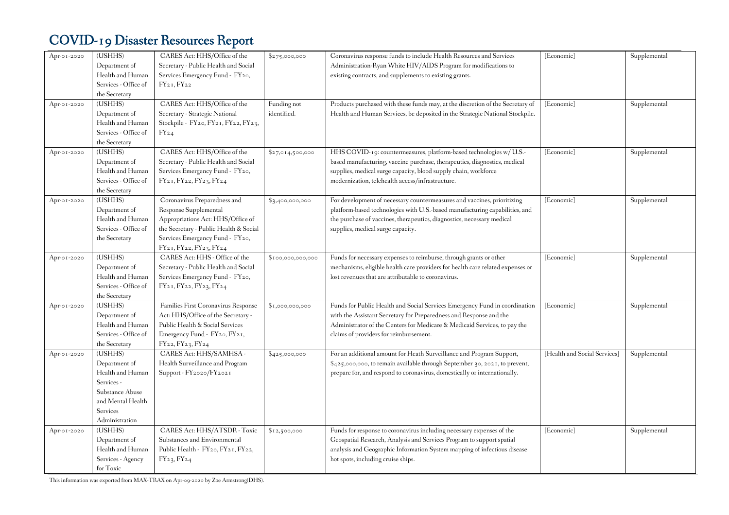| Apr-01-2020 | (USHHS)<br>Department of<br>Health and Human<br>Services - Office of<br>the Secretary                                                   | CARES Act: HHS/Office of the<br>Secretary - Public Health and Social<br>Services Emergency Fund - FY20,<br>$FY_{21}$ , $FY_{22}$                                                                  | \$275,000,000              | Coronavirus response funds to include Health Resources and Services<br>Administration-Ryan White HIV/AIDS Program for modifications to<br>existing contracts, and supplements to existing grants.                                                                       | [Economic]                   | Supplemental |
|-------------|-----------------------------------------------------------------------------------------------------------------------------------------|---------------------------------------------------------------------------------------------------------------------------------------------------------------------------------------------------|----------------------------|-------------------------------------------------------------------------------------------------------------------------------------------------------------------------------------------------------------------------------------------------------------------------|------------------------------|--------------|
| Apr-01-2020 | (USHHS)<br>Department of<br>Health and Human<br>Services - Office of<br>the Secretary                                                   | CARES Act: HHS/Office of the<br>Secretary - Strategic National<br>Stockpile - FY20, FY21, FY22, FY23,<br>$FY_{24}$                                                                                | Funding not<br>identified. | Products purchased with these funds may, at the discretion of the Secretary of<br>Health and Human Services, be deposited in the Strategic National Stockpile.                                                                                                          | [Economic]                   | Supplemental |
| Apr-01-2020 | (USHHS)<br>Department of<br>Health and Human<br>Services - Office of<br>the Secretary                                                   | CARES Act: HHS/Office of the<br>Secretary - Public Health and Social<br>Services Emergency Fund - FY20,<br>FY21, FY22, FY23, FY24                                                                 | \$27,014,500,000           | HHS COVID-19: countermeasures, platform-based technologies w/ U.S.-<br>based manufacturing, vaccine purchase, therapeutics, diagnostics, medical<br>supplies, medical surge capacity, blood supply chain, workforce<br>modernization, telehealth access/infrastructure. | [Economic]                   | Supplemental |
| Apr-01-2020 | (USHHS)<br>Department of<br>Health and Human<br>Services - Office of<br>the Secretary                                                   | Coronavirus Preparedness and<br>Response Supplemental<br>Appropriations Act: HHS/Office of<br>the Secretary - Public Health & Social<br>Services Emergency Fund - FY20,<br>FY21, FY22, FY23, FY24 | \$3,400,000,000            | For development of necessary countermeasures and vaccines, prioritizing<br>platform-based technologies with U.S.-based manufacturing capabilities, and<br>the purchase of vaccines, therapeutics, diagnostics, necessary medical<br>supplies, medical surge capacity.   | [Economic]                   | Supplemental |
| Apr-01-2020 | (USHHS)<br>Department of<br>Health and Human<br>Services - Office of<br>the Secretary                                                   | CARES Act: HHS - Office of the<br>Secretary - Public Health and Social<br>Services Emergency Fund - FY20,<br>FY21, FY22, FY23, FY24                                                               | \$100,000,000,000          | Funds for necessary expenses to reimburse, through grants or other<br>mechanisms, eligible health care providers for health care related expenses or<br>lost revenues that are attributable to coronavirus.                                                             | [Economic]                   | Supplemental |
| Apr-01-2020 | (USHHS)<br>Department of<br>Health and Human<br>Services - Office of<br>the Secretary                                                   | Families First Coronavirus Response<br>Act: HHS/Office of the Secretary -<br>Public Health & Social Services<br>Emergency Fund - FY20, FY21,<br>FY22, FY23, FY24                                  | \$1,000,000,000            | Funds for Public Health and Social Services Emergency Fund in coordination<br>with the Assistant Secretary for Preparedness and Response and the<br>Administrator of the Centers for Medicare & Medicaid Services, to pay the<br>claims of providers for reimbursement. | [Economic]                   | Supplemental |
| Apr-01-2020 | (USHHS)<br>Department of<br>Health and Human<br>Services -<br>Substance Abuse<br>and Mental Health<br><b>Services</b><br>Administration | CARES Act: HHS/SAMHSA -<br>Health Surveillance and Program<br>Support - FY2020/FY2021                                                                                                             | \$425,000,000              | For an additional amount for Heath Surveillance and Program Support,<br>\$425,000,000, to remain available through September 30, 2021, to prevent,<br>prepare for, and respond to coronavirus, domestically or internationally.                                         | [Health and Social Services] | Supplemental |
| Apr-01-2020 | (USHHS)<br>Department of<br>Health and Human<br>Services - Agency<br>for Toxic                                                          | CARES Act: HHS/ATSDR - Toxic<br>Substances and Environmental<br>Public Health - FY20, FY21, FY22,<br>FY23, FY24                                                                                   | \$12,500,000               | Funds for response to coronavirus including necessary expenses of the<br>Geospatial Research, Analysis and Services Program to support spatial<br>analysis and Geographic Information System mapping of infectious disease<br>hot spots, including cruise ships.        | [Economic]                   | Supplemental |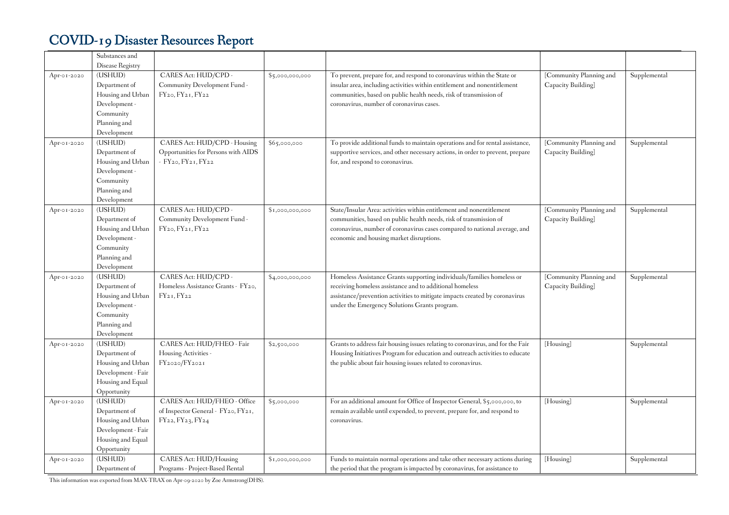|             | Substances and<br>Disease Registry                                                                         |                                                                                                                |                 |                                                                                                                                                                                                                                                                        |                                               |              |
|-------------|------------------------------------------------------------------------------------------------------------|----------------------------------------------------------------------------------------------------------------|-----------------|------------------------------------------------------------------------------------------------------------------------------------------------------------------------------------------------------------------------------------------------------------------------|-----------------------------------------------|--------------|
| Apr-01-2020 | (USHUD)<br>Department of<br>Housing and Urban<br>Development -<br>Community<br>Planning and<br>Development | CARES Act: HUD/CPD -<br>Community Development Fund -<br>FY <sub>20</sub> , FY <sub>21</sub> , FY <sub>22</sub> | \$5,000,000,000 | To prevent, prepare for, and respond to coronavirus within the State or<br>insular area, including activities within entitlement and nonentitlement<br>communities, based on public health needs, risk of transmission of<br>coronavirus, number of coronavirus cases. | [Community Planning and<br>Capacity Building] | Supplemental |
| Apr-01-2020 | (USHUD)<br>Department of<br>Housing and Urban<br>Development -<br>Community<br>Planning and<br>Development | CARES Act: HUD/CPD - Housing<br>Opportunities for Persons with AIDS<br>- FY20, FY21, FY22                      | \$65,000,000    | To provide additional funds to maintain operations and for rental assistance,<br>supportive services, and other necessary actions, in order to prevent, prepare<br>for, and respond to coronavirus.                                                                    | [Community Planning and<br>Capacity Building] | Supplemental |
| Apr-01-2020 | (USHUD)<br>Department of<br>Housing and Urban<br>Development -<br>Community<br>Planning and<br>Development | CARES Act: HUD/CPD -<br>Community Development Fund -<br>FY <sub>20</sub> , FY <sub>21</sub> , FY <sub>22</sub> | \$1,000,000,000 | State/Insular Area: activities within entitlement and nonentitlement<br>communities, based on public health needs, risk of transmission of<br>coronavirus, number of coronavirus cases compared to national average, and<br>economic and housing market disruptions.   | [Community Planning and<br>Capacity Building] | Supplemental |
| Apr-01-2020 | (USHUD)<br>Department of<br>Housing and Urban<br>Development -<br>Community<br>Planning and<br>Development | CARES Act: HUD/CPD -<br>Homeless Assistance Grants - FY20,<br>FY21, FY22                                       | \$4,000,000,000 | Homeless Assistance Grants supporting individuals/families homeless or<br>receiving homeless assistance and to additional homeless<br>assistance/prevention activities to mitigate impacts created by coronavirus<br>under the Emergency Solutions Grants program.     | [Community Planning and<br>Capacity Building] | Supplemental |
| Apr-01-2020 | (USHUD)<br>Department of<br>Housing and Urban<br>Development - Fair<br>Housing and Equal<br>Opportunity    | CARES Act: HUD/FHEO - Fair<br>Housing Activities -<br>FY2020/FY2021                                            | \$2,500,000     | Grants to address fair housing issues relating to coronavirus, and for the Fair<br>Housing Initiatives Program for education and outreach activities to educate<br>the public about fair housing issues related to coronavirus.                                        | [Housing]                                     | Supplemental |
| Apr-01-2020 | (USHUD)<br>Department of<br>Housing and Urban<br>Development - Fair<br>Housing and Equal<br>Opportunity    | CARES Act: HUD/FHEO - Office<br>of Inspector General - FY20, FY21,<br>FY22, FY23, FY24                         | \$5,000,000     | For an additional amount for Office of Inspector General, \$5,000,000, to<br>remain available until expended, to prevent, prepare for, and respond to<br>coronavirus.                                                                                                  | [Housing]                                     | Supplemental |
| Apr-01-2020 | (USHUD)<br>Department of                                                                                   | CARES Act: HUD/Housing<br>Programs - Project-Based Rental                                                      | \$1,000,000,000 | Funds to maintain normal operations and take other necessary actions during<br>the period that the program is impacted by coronavirus, for assistance to                                                                                                               | [Housing]                                     | Supplemental |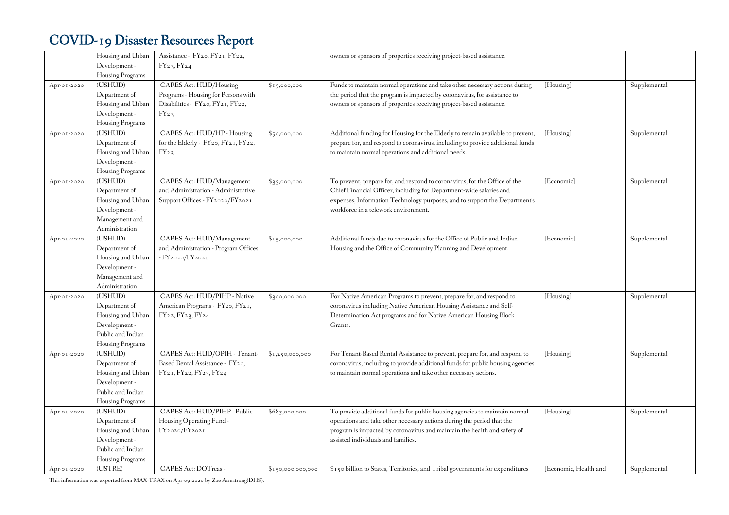|             | Housing and Urban | Assistance - FY20, FY21, FY22,       |                   | owners or sponsors of properties receiving project-based assistance.           |                       |              |
|-------------|-------------------|--------------------------------------|-------------------|--------------------------------------------------------------------------------|-----------------------|--------------|
|             | Development -     | FY23, FY24                           |                   |                                                                                |                       |              |
|             | Housing Programs  |                                      |                   |                                                                                |                       |              |
| Apr-01-2020 | (USHUD)           | CARES Act: HUD/Housing               | \$15,000,000      | Funds to maintain normal operations and take other necessary actions during    | [Housing]             | Supplemental |
|             | Department of     | Programs - Housing for Persons with  |                   | the period that the program is impacted by coronavirus, for assistance to      |                       |              |
|             | Housing and Urban | Disabilities - FY20, FY21, FY22,     |                   | owners or sponsors of properties receiving project-based assistance.           |                       |              |
|             | Development -     | $FY_{23}$                            |                   |                                                                                |                       |              |
|             | Housing Programs  |                                      |                   |                                                                                |                       |              |
| Apr-01-2020 | (USHUD)           | CARES Act: HUD/HP - Housing          | \$50,000,000      | Additional funding for Housing for the Elderly to remain available to prevent, | [Housing]             | Supplemental |
|             | Department of     | for the Elderly - FY20, FY21, FY22,  |                   | prepare for, and respond to coronavirus, including to provide additional funds |                       |              |
|             | Housing and Urban | $FY_{23}$                            |                   | to maintain normal operations and additional needs.                            |                       |              |
|             | Development -     |                                      |                   |                                                                                |                       |              |
|             | Housing Programs  |                                      |                   |                                                                                |                       |              |
| Apr-01-2020 | (USHUD)           | CARES Act: HUD/Management            | \$35,000,000      | To prevent, prepare for, and respond to coronavirus, for the Office of the     | [Economic]            | Supplemental |
|             | Department of     | and Administration - Administrative  |                   | Chief Financial Officer, including for Department-wide salaries and            |                       |              |
|             | Housing and Urban | Support Offices - FY2020/FY2021      |                   | expenses, Information Technology purposes, and to support the Department's     |                       |              |
|             | Development -     |                                      |                   | workforce in a telework environment.                                           |                       |              |
|             | Management and    |                                      |                   |                                                                                |                       |              |
|             | Administration    |                                      |                   |                                                                                |                       |              |
| Apr-01-2020 | (USHUD)           | CARES Act: HUD/Management            | \$15,000,000      | Additional funds due to coronavirus for the Office of Public and Indian        | [Economic]            | Supplemental |
|             | Department of     | and Administration - Program Offices |                   | Housing and the Office of Community Planning and Development.                  |                       |              |
|             | Housing and Urban | - FY2020/FY2021                      |                   |                                                                                |                       |              |
|             | Development -     |                                      |                   |                                                                                |                       |              |
|             | Management and    |                                      |                   |                                                                                |                       |              |
|             | Administration    |                                      |                   |                                                                                |                       |              |
| Apr-01-2020 | (USHUD)           | CARES Act: HUD/PIHP - Native         | \$300,000,000     | For Native American Programs to prevent, prepare for, and respond to           | [Housing]             | Supplemental |
|             | Department of     | American Programs - FY20, FY21,      |                   | coronavirus including Native American Housing Assistance and Self-             |                       |              |
|             | Housing and Urban | FY22, FY23, FY24                     |                   | Determination Act programs and for Native American Housing Block               |                       |              |
|             | Development -     |                                      |                   | Grants.                                                                        |                       |              |
|             | Public and Indian |                                      |                   |                                                                                |                       |              |
|             | Housing Programs  |                                      |                   |                                                                                |                       |              |
| Apr-01-2020 | (USHUD)           | CARES Act: HUD/OPIH - Tenant-        | \$1,250,000,000   | For Tenant-Based Rental Assistance to prevent, prepare for, and respond to     | [Housing]             | Supplemental |
|             | Department of     | Based Rental Assistance - FY20,      |                   | coronavirus, including to provide additional funds for public housing agencies |                       |              |
|             | Housing and Urban | FY21, FY22, FY23, FY24               |                   | to maintain normal operations and take other necessary actions.                |                       |              |
|             | Development -     |                                      |                   |                                                                                |                       |              |
|             | Public and Indian |                                      |                   |                                                                                |                       |              |
|             | Housing Programs  |                                      |                   |                                                                                |                       |              |
| Apr-01-2020 | (USHUD)           | CARES Act: HUD/PIHP - Public         | \$685,000,000     | To provide additional funds for public housing agencies to maintain normal     | [Housing]             | Supplemental |
|             | Department of     | Housing Operating Fund -             |                   | operations and take other necessary actions during the period that the         |                       |              |
|             | Housing and Urban | FY2020/FY2021                        |                   | program is impacted by coronavirus and maintain the health and safety of       |                       |              |
|             | Development -     |                                      |                   | assisted individuals and families.                                             |                       |              |
|             | Public and Indian |                                      |                   |                                                                                |                       |              |
|             | Housing Programs  |                                      |                   |                                                                                |                       |              |
| Apr-01-2020 | (USTRE)           | <b>CARES Act: DOTreas -</b>          | \$150,000,000,000 | \$150 billion to States, Territories, and Tribal governments for expenditures  | [Economic, Health and | Supplemental |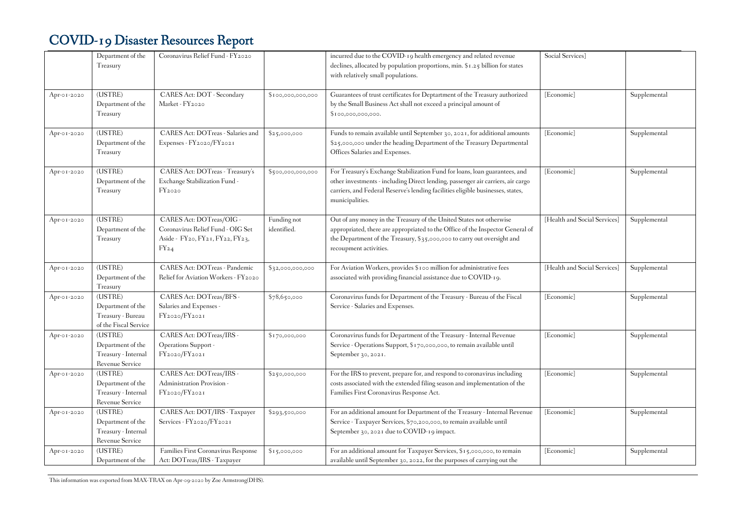|             | Department of the<br>Treasury                                              | Coronavirus Relief Fund - FY2020                                                                              |                            | incurred due to the COVID-19 health emergency and related revenue<br>declines, allocated by population proportions, min. \$1.25 billion for states<br>with relatively small populations.                                                                            | Social Services]             |              |
|-------------|----------------------------------------------------------------------------|---------------------------------------------------------------------------------------------------------------|----------------------------|---------------------------------------------------------------------------------------------------------------------------------------------------------------------------------------------------------------------------------------------------------------------|------------------------------|--------------|
| Apr-01-2020 | (USTRE)<br>Department of the<br>Treasury                                   | CARES Act: DOT - Secondary<br>Market - FY2020                                                                 | \$100,000,000,000          | Guarantees of trust certificates for Deptartment of the Treasury authorized<br>by the Small Business Act shall not exceed a principal amount of<br>\$100,000,000,000.                                                                                               | [Economic]                   | Supplemental |
| Apr-01-2020 | (USTRE)<br>Department of the<br>Treasury                                   | CARES Act: DOTreas - Salaries and<br>Expenses - FY2020/FY2021                                                 | \$25,000,000               | Funds to remain available until September 30, 2021, for additional amounts<br>\$25,000,000 under the heading Department of the Treasury Departmental<br>Offices Salaries and Expenses.                                                                              | [Economic]                   | Supplemental |
| Apr-01-2020 | (USTRE)<br>Department of the<br>Treasury                                   | CARES Act: DOTreas - Treasury's<br>Exchange Stabilization Fund -<br>$FY_{2020}$                               | \$500,000,000,000          | For Treasury's Exchange Stabilization Fund for loans, loan guarantees, and<br>other investments - including Direct lending, passenger air carriers, air cargo<br>carriers, and Federal Reserve's lending facilities eligible businesses, states,<br>municipalities. | [Economic]                   | Supplemental |
| Apr-01-2020 | (USTRE)<br>Department of the<br>Treasury                                   | CARES Act: DOTreas/OIG -<br>Coronavirus Relief Fund - OIG Set<br>Aside - FY20, FY21, FY22, FY23,<br>$FY_{24}$ | Funding not<br>identified. | Out of any money in the Treasury of the United States not otherwise<br>appropriated, there are appropriated to the Office of the Inspector General of<br>the Department of the Treasury, $\S$ 35,000,000 to carry out oversight and<br>recoupment activities.       | [Health and Social Services] | Supplemental |
| Apr-01-2020 | (USTRE)<br>Department of the<br>Treasury                                   | CARES Act: DOTreas - Pandemic<br>Relief for Aviation Workers - FY2020                                         | \$32,000,000,000           | For Aviation Workers, provides \$100 million for administrative fees<br>associated with providing financial assistance due to COVID-19.                                                                                                                             | [Health and Social Services] | Supplemental |
| Apr-01-2020 | (USTRE)<br>Department of the<br>Treasury - Bureau<br>of the Fiscal Service | CARES Act: DOTreas/BFS -<br>Salaries and Expenses -<br>FY2020/FY2021                                          | \$78,650,000               | Coronavirus funds for Department of the Treasury - Bureau of the Fiscal<br>Service - Salaries and Expenses.                                                                                                                                                         | [Economic]                   | Supplemental |
| Apr-01-2020 | (USTRE)<br>Department of the<br>Treasury - Internal<br>Revenue Service     | CARES Act: DOTreas/IRS-<br>Operations Support -<br>FY2020/FY2021                                              | \$170,000,000              | Coronavirus funds for Department of the Treasury - Internal Revenue<br>Service - Operations Support, \$170,000,000, to remain available until<br>September 30, 2021.                                                                                                | [Economic]                   | Supplemental |
| Apr-01-2020 | (USTRE)<br>Department of the<br>Treasury - Internal<br>Revenue Service     | CARES Act: DOTreas/IRS-<br>Administration Provision -<br>FY2020/FY2021                                        | \$250,000,000              | For the IRS to prevent, prepare for, and respond to coronavirus including<br>costs associated with the extended filing season and implementation of the<br>Families First Coronavirus Response Act.                                                                 | [Economic]                   | Supplemental |
| Apr-01-2020 | (USTRE)<br>Department of the<br>Treasury - Internal<br>Revenue Service     | CARES Act: DOT/IRS - Taxpayer<br>Services - FY2020/FY2021                                                     | \$293,500,000              | For an additional amount for Department of the Treasury - Internal Revenue<br>Service - Taxpayer Services, \$70,200,000, to remain available until<br>September 30, 2021 due to COVID-19 impact.                                                                    | [Economic]                   | Supplemental |
| Apr-01-2020 | (USTRE)<br>Department of the                                               | Families First Coronavirus Response<br>Act: DOTreas/IRS - Taxpayer                                            | \$15,000,000               | For an additional amount for Taxpayer Services, \$15,000,000, to remain<br>available until September 30, 2022, for the purposes of carrying out the                                                                                                                 | [Economic]                   | Supplemental |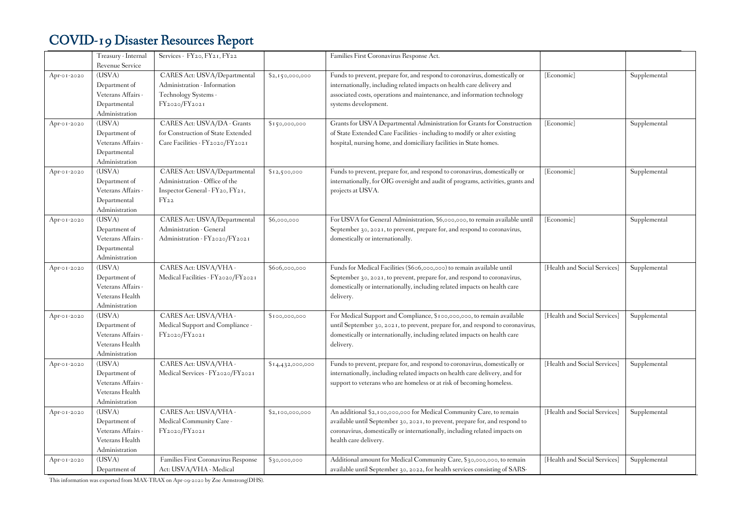|             | Treasury - Internal    | Services - FY20, FY21, FY22         |                  | Families First Coronavirus Response Act.                                         |                              |              |
|-------------|------------------------|-------------------------------------|------------------|----------------------------------------------------------------------------------|------------------------------|--------------|
|             | <b>Revenue Service</b> |                                     |                  |                                                                                  |                              |              |
| Apr-01-2020 | (USVA)                 | CARES Act: USVA/Departmental        | \$2,150,000,000  | Funds to prevent, prepare for, and respond to coronavirus, domestically or       | [Economic]                   | Supplemental |
|             | Department of          | Administration - Information        |                  | internationally, including related impacts on health care delivery and           |                              |              |
|             | Veterans Affairs -     | Technology Systems -                |                  | associated costs, operations and maintenance, and information technology         |                              |              |
|             | Departmental           | FY2020/FY2021                       |                  | systems development.                                                             |                              |              |
|             | Administration         |                                     |                  |                                                                                  |                              |              |
| Apr-01-2020 | (USVA)                 | CARES Act: USVA/DA - Grants         | \$150,000,000    | Grants for USVA Departmental Administration for Grants for Construction          | [Economic]                   | Supplemental |
|             | Department of          | for Construction of State Extended  |                  | of State Extended Care Facilities - including to modify or alter existing        |                              |              |
|             | Veterans Affairs -     | Care Facilities - FY2020/FY2021     |                  | hospital, nursing home, and domiciliary facilities in State homes.               |                              |              |
|             | Departmental           |                                     |                  |                                                                                  |                              |              |
|             | Administration         |                                     |                  |                                                                                  |                              |              |
| Apr-01-2020 | (USVA)                 | CARES Act: USVA/Departmental        | \$12,500,000     | Funds to prevent, prepare for, and respond to coronavirus, domestically or       | [Economic]                   | Supplemental |
|             | Department of          | Administration - Office of the      |                  | internationally, for OIG oversight and audit of programs, activities, grants and |                              |              |
|             | Veterans Affairs -     | Inspector General - FY20, FY21,     |                  | projects at USVA.                                                                |                              |              |
|             | Departmental           | $FY_{22}$                           |                  |                                                                                  |                              |              |
|             | Administration         |                                     |                  |                                                                                  |                              |              |
| Apr-01-2020 | (USVA)                 | CARES Act: USVA/Departmental        | \$6,000,000      | For USVA for General Administration, \$6,000,000, to remain available until      | [Economic]                   | Supplemental |
|             | Department of          | Administration - General            |                  | September 30, 2021, to prevent, prepare for, and respond to coronavirus,         |                              |              |
|             | Veterans Affairs -     | Administration - FY2020/FY2021      |                  | domestically or internationally.                                                 |                              |              |
|             | Departmental           |                                     |                  |                                                                                  |                              |              |
|             | Administration         |                                     |                  |                                                                                  |                              |              |
| Apr-01-2020 | (USVA)                 | CARES Act: USVA/VHA -               | \$606,000,000    | Funds for Medical Facilities (\$606,000,000) to remain available until           | [Health and Social Services] | Supplemental |
|             | Department of          | Medical Facilities - FY2020/FY2021  |                  | September 30, 2021, to prevent, prepare for, and respond to coronavirus,         |                              |              |
|             | Veterans Affairs -     |                                     |                  | domestically or internationally, including related impacts on health care        |                              |              |
|             | Veterans Health        |                                     |                  | delivery.                                                                        |                              |              |
|             | Administration         |                                     |                  |                                                                                  |                              |              |
| Apr-01-2020 | (USVA)                 | CARES Act: USVA/VHA -               | \$100,000,000    | For Medical Support and Compliance, \$100,000,000, to remain available           | [Health and Social Services] | Supplemental |
|             | Department of          | Medical Support and Compliance -    |                  | until September 30, 2021, to prevent, prepare for, and respond to coronavirus,   |                              |              |
|             | Veterans Affairs -     | FY2020/FY2021                       |                  | domestically or internationally, including related impacts on health care        |                              |              |
|             | Veterans Health        |                                     |                  | delivery.                                                                        |                              |              |
|             | Administration         |                                     |                  |                                                                                  |                              |              |
| Apr-01-2020 | (USVA)                 | CARES Act: USVA/VHA -               | \$14,432,000,000 | Funds to prevent, prepare for, and respond to coronavirus, domestically or       | [Health and Social Services] | Supplemental |
|             | Department of          | Medical Services - FY2020/FY2021    |                  | internationally, including related impacts on health care delivery, and for      |                              |              |
|             | Veterans Affairs -     |                                     |                  | support to veterans who are homeless or at risk of becoming homeless.            |                              |              |
|             | Veterans Health        |                                     |                  |                                                                                  |                              |              |
|             | Administration         |                                     |                  |                                                                                  |                              |              |
| Apr-01-2020 | (USVA)                 | CARES Act: USVA/VHA -               | \$2,100,000,000  | An additional \$2,100,000,000 for Medical Community Care, to remain              | [Health and Social Services] | Supplemental |
|             | Department of          | Medical Community Care -            |                  | available until September 30, 2021, to prevent, prepare for, and respond to      |                              |              |
|             | Veterans Affairs -     | FY2020/FY2021                       |                  | coronavirus, domestically or internationally, including related impacts on       |                              |              |
|             | Veterans Health        |                                     |                  | health care delivery.                                                            |                              |              |
|             | Administration         |                                     |                  |                                                                                  |                              |              |
| Apr-01-2020 | (USVA)                 | Families First Coronavirus Response | \$30,000,000     | Additional amount for Medical Community Care, \$30,000,000, to remain            | [Health and Social Services] | Supplemental |
|             | Department of          | Act: USVA/VHA - Medical             |                  | available until September 30, 2022, for health services consisting of SARS-      |                              |              |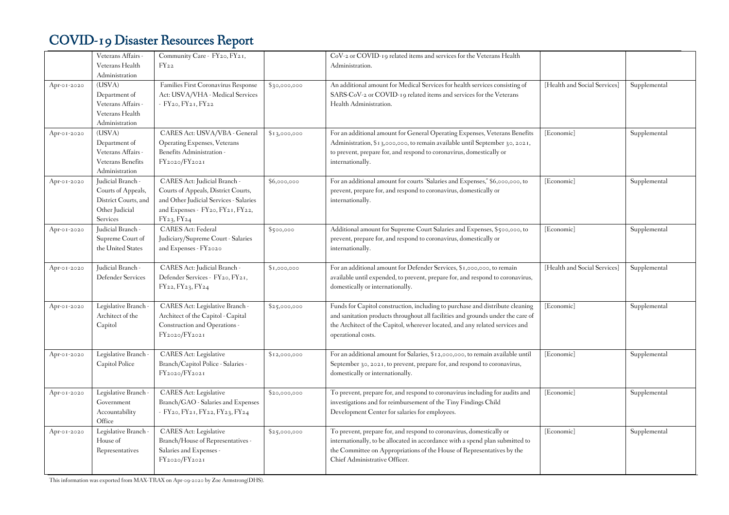|             | Veterans Affairs -       | Community Care - FY20, FY21,           |              | CoV-2 or COVID-19 related items and services for the Veterans Health            |                              |              |
|-------------|--------------------------|----------------------------------------|--------------|---------------------------------------------------------------------------------|------------------------------|--------------|
|             | Veterans Health          | $FY_{22}$                              |              | Administration.                                                                 |                              |              |
|             | Administration           |                                        |              |                                                                                 |                              |              |
| Apr-01-2020 | (USVA)                   | Families First Coronavirus Response    | \$30,000,000 | An additional amount for Medical Services for health services consisting of     | [Health and Social Services] | Supplemental |
|             | Department of            | Act: USVA/VHA - Medical Services       |              | SARS-CoV-2 or COVID-19 related items and services for the Veterans              |                              |              |
|             | Veterans Affairs -       | - FY20, FY21, FY22                     |              | Health Administration.                                                          |                              |              |
|             | Veterans Health          |                                        |              |                                                                                 |                              |              |
|             | Administration           |                                        |              |                                                                                 |                              |              |
| Apr-01-2020 | (USVA)                   | CARES Act: USVA/VBA - General          | \$13,000,000 | For an additional amount for General Operating Expenses, Veterans Benefits      | [Economic]                   | Supplemental |
|             | Department of            | Operating Expenses, Veterans           |              | Administration, \$13,000,000, to remain available until September 30, 2021,     |                              |              |
|             | Veterans Affairs -       | Benefits Administration -              |              | to prevent, prepare for, and respond to coronavirus, domestically or            |                              |              |
|             | <b>Veterans Benefits</b> | FY2020/FY2021                          |              | internationally.                                                                |                              |              |
|             | Administration           |                                        |              |                                                                                 |                              |              |
| Apr-01-2020 | Judicial Branch -        | CARES Act: Judicial Branch -           | \$6,000,000  | For an additional amount for courts "Salaries and Expenses," \$6,000,000, to    | [Economic]                   | Supplemental |
|             | Courts of Appeals,       | Courts of Appeals, District Courts,    |              | prevent, prepare for, and respond to coronavirus, domestically or               |                              |              |
|             | District Courts, and     | and Other Judicial Services - Salaries |              | internationally.                                                                |                              |              |
|             | Other Judicial           | and Expenses - FY20, FY21, FY22,       |              |                                                                                 |                              |              |
|             | Services                 | FY23, FY24                             |              |                                                                                 |                              |              |
| Apr-01-2020 | Judicial Branch -        | <b>CARES</b> Act: Federal              | \$500,000    | Additional amount for Supreme Court Salaries and Expenses, \$500,000, to        | [Economic]                   | Supplemental |
|             | Supreme Court of         | Judiciary/Supreme Court - Salaries     |              | prevent, prepare for, and respond to coronavirus, domestically or               |                              |              |
|             | the United States        | and Expenses - FY2020                  |              | internationally.                                                                |                              |              |
| Apr-01-2020 | Judicial Branch -        | CARES Act: Judicial Branch -           | \$1,000,000  | For an additional amount for Defender Services, \$1,000,000, to remain          | [Health and Social Services] | Supplemental |
|             | Defender Services        | Defender Services - FY20, FY21,        |              | available until expended, to prevent, prepare for, and respond to coronavirus,  |                              |              |
|             |                          | FY22, FY23, FY24                       |              | domestically or internationally.                                                |                              |              |
|             |                          |                                        |              |                                                                                 |                              |              |
| Apr-01-2020 | Legislative Branch       | CARES Act: Legislative Branch -        | \$25,000,000 | Funds for Capitol construction, including to purchase and distribute cleaning   | [Economic]                   | Supplemental |
|             | Architect of the         | Architect of the Capitol - Capital     |              | and sanitation products throughout all facilities and grounds under the care of |                              |              |
|             | Capitol                  | Construction and Operations -          |              | the Architect of the Capitol, wherever located, and any related services and    |                              |              |
|             |                          | FY2020/FY2021                          |              | operational costs.                                                              |                              |              |
|             |                          |                                        |              |                                                                                 |                              |              |
| Apr-01-2020 | Legislative Branch -     | CARES Act: Legislative                 | \$12,000,000 | For an additional amount for Salaries, \$12,000,000, to remain available until  | [Economic]                   | Supplemental |
|             | Capitol Police           | Branch/Capitol Police - Salaries -     |              | September 30, 2021, to prevent, prepare for, and respond to coronavirus,        |                              |              |
|             |                          | FY2020/FY2021                          |              | domestically or internationally.                                                |                              |              |
| Apr-01-2020 | Legislative Branch       | CARES Act: Legislative                 | \$20,000,000 | To prevent, prepare for, and respond to coronavirus including for audits and    | [Economic]                   | Supplemental |
|             | Government               | Branch/GAO - Salaries and Expenses     |              | investigations and for reimbursement of the Tiny Findings Child                 |                              |              |
|             | Accountability           | - FY20, FY21, FY22, FY23, FY24         |              | Development Center for salaries for employees.                                  |                              |              |
|             | Office                   |                                        |              |                                                                                 |                              |              |
| Apr-01-2020 | Legislative Branch       | CARES Act: Legislative                 | \$25,000,000 | To prevent, prepare for, and respond to coronavirus, domestically or            | [Economic]                   | Supplemental |
|             | House of                 | Branch/House of Representatives -      |              | internationally, to be allocated in accordance with a spend plan submitted to   |                              |              |
|             |                          |                                        |              |                                                                                 |                              |              |
|             | Representatives          | Salaries and Expenses -                |              | the Committee on Appropriations of the House of Representatives by the          |                              |              |
|             |                          | FY2020/FY2021                          |              | Chief Administrative Officer.                                                   |                              |              |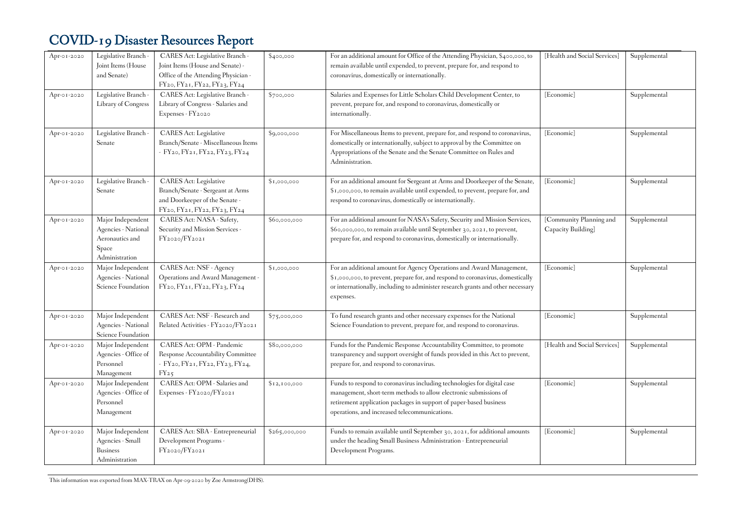| Apr-01-2020 | Legislative Branch -<br>Joint Items (House<br>and Senate)                              | CARES Act: Legislative Branch -<br>Joint Items (House and Senate) -<br>Office of the Attending Physician -<br>FY20, FY21, FY22, FY23, FY24 | \$400,000       | For an additional amount for Office of the Attending Physician, \$400,000, to<br>remain available until expended, to prevent, prepare for, and respond to<br>coronavirus, domestically or internationally.                                                          | [Health and Social Services]                  | Supplemental |
|-------------|----------------------------------------------------------------------------------------|--------------------------------------------------------------------------------------------------------------------------------------------|-----------------|---------------------------------------------------------------------------------------------------------------------------------------------------------------------------------------------------------------------------------------------------------------------|-----------------------------------------------|--------------|
| Apr-01-2020 | Legislative Branch -<br>Library of Congress                                            | CARES Act: Legislative Branch -<br>Library of Congress - Salaries and<br>Expenses - FY2020                                                 | \$700,000       | Salaries and Expenses for Little Scholars Child Development Center, to<br>prevent, prepare for, and respond to coronavirus, domestically or<br>internationally.                                                                                                     | [Economic]                                    | Supplemental |
| Apr-01-2020 | Legislative Branch -<br>Senate                                                         | <b>CARES</b> Act: Legislative<br>Branch/Senate - Miscellaneous Items<br>- FY20, FY21, FY22, FY23, FY24                                     | \$9,000,000     | For Miscellaneous Items to prevent, prepare for, and respond to coronavirus,<br>domestically or internationally, subject to approval by the Committee on<br>Appropriations of the Senate and the Senate Committee on Rules and<br>Administration.                   | [Economic]                                    | Supplemental |
| Apr-01-2020 | Legislative Branch -<br>Senate                                                         | CARES Act: Legislative<br>Branch/Senate - Sergeant at Arms<br>and Doorkeeper of the Senate -<br>FY20, FY21, FY22, FY23, FY24               | $s_{1,000,000}$ | For an additional amount for Sergeant at Arms and Doorkeeper of the Senate,<br>\$1,000,000, to remain available until expended, to prevent, prepare for, and<br>respond to coronavirus, domestically or internationally.                                            | [Economic]                                    | Supplemental |
| Apr-01-2020 | Major Independent<br>Agencies - National<br>Aeronautics and<br>Space<br>Administration | CARES Act: NASA - Safety,<br>Security and Mission Services -<br>FY2020/FY2021                                                              | \$60,000,000    | For an additional amount for NASA's Safety, Security and Mission Services,<br>\$60,000,000, to remain available until September 30, 2021, to prevent,<br>prepare for, and respond to coronavirus, domestically or internationally.                                  | [Community Planning and<br>Capacity Building] | Supplemental |
| Apr-01-2020 | Major Independent<br>Agencies - National<br>Science Foundation                         | <b>CARES Act: NSF - Agency</b><br>Operations and Award Management -<br>FY20, FY21, FY22, FY23, FY24                                        | \$1,000,000     | For an additional amount for Agency Operations and Award Management,<br>\$1,000,000, to prevent, prepare for, and respond to coronavirus, domestically<br>or internationally, including to administer research grants and other necessary<br>expenses.              | [Economic]                                    | Supplemental |
| Apr-01-2020 | Major Independent<br>Agencies - National<br>Science Foundation                         | CARES Act: NSF - Research and<br>Related Activities - FY2020/FY2021                                                                        | \$75,000,000    | To fund research grants and other necessary expenses for the National<br>Science Foundation to prevent, prepare for, and respond to coronavirus.                                                                                                                    | [Economic]                                    | Supplemental |
| Apr-01-2020 | Major Independent<br>Agencies - Office of<br>Personnel<br>Management                   | CARES Act: OPM - Pandemic<br>Response Accountability Committee<br>- FY20, FY21, FY22, FY23, FY24,<br>$FY_{25}$                             | \$80,000,000    | Funds for the Pandemic Response Accountability Committee, to promote<br>transparency and support oversight of funds provided in this Act to prevent,<br>prepare for, and respond to coronavirus.                                                                    | [Health and Social Services]                  | Supplemental |
| Apr-01-2020 | Major Independent<br>Agencies - Office of<br>Personnel<br>Management                   | CARES Act: OPM - Salaries and<br>Expenses - FY2020/FY2021                                                                                  | \$12,100,000    | Funds to respond to coronavirus including technologies for digital case<br>management, short-term methods to allow electronic submissions of<br>retirement application packages in support of paper-based business<br>operations, and increased telecommunications. | [Economic]                                    | Supplemental |
| Apr-01-2020 | Major Independent<br>Agencies - Small<br><b>Business</b><br>Administration             | CARES Act: SBA - Entrepreneurial<br>Development Programs -<br>FY2020/FY2021                                                                | \$265,000,000   | Funds to remain available until September 30, 2021, for additional amounts<br>under the heading Small Business Administration - Entrepreneurial<br>Development Programs.                                                                                            | [Economic]                                    | Supplemental |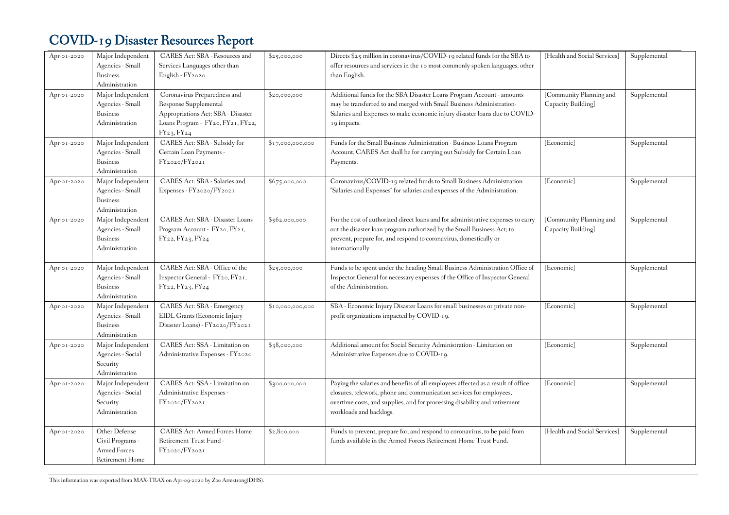| Apr-01-2020<br>Apr-01-2020 | Major Independent<br>Agencies - Small<br><b>Business</b><br>Administration<br>Major Independent | CARES Act: SBA - Resources and<br>Services Languages other than<br>English - FY2020<br>Coronavirus Preparedness and | \$25,000,000<br>\$20,000,000 | Directs \$25 million in coronavirus/COVID-19 related funds for the SBA to<br>offer resources and services in the 10 most commonly spoken languages, other<br>than English.<br>Additional funds for the SBA Disaster Loans Program Account - amounts              | [Health and Social Services]<br>[Community Planning and | Supplemental<br>Supplemental |
|----------------------------|-------------------------------------------------------------------------------------------------|---------------------------------------------------------------------------------------------------------------------|------------------------------|------------------------------------------------------------------------------------------------------------------------------------------------------------------------------------------------------------------------------------------------------------------|---------------------------------------------------------|------------------------------|
|                            | Agencies - Small<br><b>Business</b><br>Administration                                           | Response Supplemental<br>Appropriations Act: SBA - Disaster<br>Loans Program - FY20, FY21, FY22,<br>FY23, FY24      |                              | may be transferred to and merged with Small Business Administration-<br>Salaries and Expenses to make economic injury disaster loans due to COVID-<br>19 impacts.                                                                                                | Capacity Building]                                      |                              |
| Apr-01-2020                | Major Independent<br>Agencies - Small<br><b>Business</b><br>Administration                      | CARES Act: SBA - Subsidy for<br>Certain Loan Payments -<br>FY2020/FY2021                                            | \$17,000,000,000             | Funds for the Small Business Administration - Business Loans Program<br>Account, CARES Act shall be for carrying out Subsidy for Certain Loan<br>Payments.                                                                                                       | [Economic]                                              | Supplemental                 |
| Apr-01-2020                | Major Independent<br>Agencies - Small<br><b>Business</b><br>Administration                      | CARES Act: SBA - Salaries and<br>Expenses - FY2020/FY2021                                                           | \$675,000,000                | Coronavirus/COVID-19 related funds to Small Business Administration<br>"Salaries and Expenses" for salaries and expenses of the Administration.                                                                                                                  | [Economic]                                              | Supplemental                 |
| Apr-01-2020                | Major Independent<br>Agencies - Small<br><b>Business</b><br>Administration                      | CARES Act: SBA - Disaster Loans<br>Program Account - FY20, FY21,<br>FY22, FY23, FY24                                | \$562,000,000                | For the cost of authorized direct loans and for administrative expenses to carry<br>out the disaster loan program authorized by the Small Business Act; to<br>prevent, prepare for, and respond to coronavirus, domestically or<br>internationally.              | [Community Planning and<br>Capacity Building]           | Supplemental                 |
| Apr-01-2020                | Major Independent<br>Agencies - Small<br><b>Business</b><br>Administration                      | CARES Act: SBA - Office of the<br>Inspector General - FY20, FY21,<br>FY22, FY23, FY24                               | \$25,000,000                 | Funds to be spent under the heading Small Business Administration Office of<br>Inspector General for necessary expenses of the Office of Inspector General<br>of the Administration.                                                                             | [Economic]                                              | Supplemental                 |
| Apr-01-2020                | Major Independent<br>Agencies - Small<br><b>Business</b><br>Administration                      | CARES Act: SBA - Emergency<br>EIDL Grants (Economic Injury<br>Disaster Loans) - FY2020/FY2021                       | \$10,000,000,000             | SBA - Economic Injury Disaster Loans for small businesses or private non-<br>profit organizations impacted by COVID-19.                                                                                                                                          | [Economic]                                              | Supplemental                 |
| Apr-01-2020                | Major Independent<br>Agencies - Social<br>Security<br>Administration                            | CARES Act: SSA - Limitation on<br>Administrative Expenses - FY2020                                                  | \$38,000,000                 | Additional amount for Social Security Administration - Limitation on<br>Administrative Expenses due to COVID-19.                                                                                                                                                 | [Economic]                                              | Supplemental                 |
| Apr-01-2020                | Major Independent<br>Agencies - Social<br>Security<br>Administration                            | CARES Act: SSA - Limitation on<br>Administrative Expenses -<br>FY2020/FY2021                                        | \$300,000,000                | Paying the salaries and benefits of all employees affected as a result of office<br>closures, telework, phone and communication services for employees,<br>overtime costs, and supplies, and for processing disability and retirement<br>workloads and backlogs. | [Economic]                                              | Supplemental                 |
| Apr-01-2020                | Other Defense<br>Civil Programs -<br>Armed Forces<br>Retirement Home                            | <b>CARES Act: Armed Forces Home</b><br>Retirement Trust Fund -<br>FY2020/FY2021                                     | \$2,800,000                  | Funds to prevent, prepare for, and respond to coronavirus, to be paid from<br>funds available in the Armed Forces Retirement Home Trust Fund.                                                                                                                    | [Health and Social Services]                            | Supplemental                 |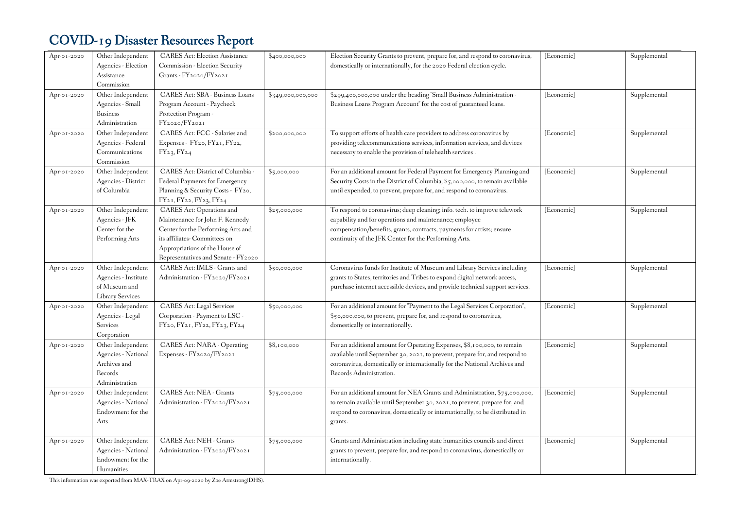| Apr-01-2020 | Other Independent<br>Agencies - Election<br>Assistance<br>Commission                  | <b>CARES Act: Election Assistance</b><br>Commission - Election Security<br>Grants - FY2020/FY2021                                                                                                                   | \$400,000,000     | Election Security Grants to prevent, prepare for, and respond to coronavirus,<br>domestically or internationally, for the 2020 Federal election cycle.                                                                                                                  | [Economic] | Supplemental |
|-------------|---------------------------------------------------------------------------------------|---------------------------------------------------------------------------------------------------------------------------------------------------------------------------------------------------------------------|-------------------|-------------------------------------------------------------------------------------------------------------------------------------------------------------------------------------------------------------------------------------------------------------------------|------------|--------------|
| Apr-01-2020 | Other Independent<br>Agencies - Small<br><b>Business</b><br>Administration            | CARES Act: SBA - Business Loans<br>Program Account - Paycheck<br>Protection Program -<br>FY2020/FY2021                                                                                                              | \$349,000,000,000 | \$299,400,000,000 under the heading "Small Business Administration -<br>Business Loans Program Account" for the cost of guaranteed loans.                                                                                                                               | [Economic] | Supplemental |
| Apr-01-2020 | Other Independent<br>Agencies - Federal<br>Communications<br>Commission               | CARES Act: FCC - Salaries and<br>Expenses - FY20, FY21, FY22,<br>FY23, FY24                                                                                                                                         | \$200,000,000     | To support efforts of health care providers to address coronavirus by<br>providing telecommunications services, information services, and devices<br>necessary to enable the provision of telehealth services.                                                          | [Economic] | Supplemental |
| Apr-01-2020 | Other Independent<br>Agencies - District<br>of Columbia                               | CARES Act: District of Columbia -<br>Federal Payments for Emergency<br>Planning & Security Costs - FY20,<br>FY21, FY22, FY23, FY24                                                                                  | \$5,000,000       | For an additional amount for Federal Payment for Emergency Planning and<br>Security Costs in the District of Columbia, \$5,000,000, to remain available<br>until expended, to prevent, prepare for, and respond to coronavirus.                                         | [Economic] | Supplemental |
| Apr-01-2020 | Other Independent<br>Agencies - JFK<br>Center for the<br>Performing Arts              | <b>CARES</b> Act: Operations and<br>Maintenance for John F. Kennedy<br>Center for the Performing Arts and<br>its affiliates- Committees on<br>Appropriations of the House of<br>Representatives and Senate - FY2020 | \$25,000,000      | To respond to coronavirus; deep cleaning; info. tech. to improve telework<br>capability and for operations and maintenance; employee<br>compensation/benefits, grants, contracts, payments for artists; ensure<br>continuity of the JFK Center for the Performing Arts. | [Economic] | Supplemental |
| Apr-01-2020 | Other Independent<br>Agencies - Institute<br>of Museum and<br><b>Library Services</b> | CARES Act: IMLS - Grants and<br>Administration - FY2020/FY2021                                                                                                                                                      | \$50,000,000      | Coronavirus funds for Institute of Museum and Library Services including<br>grants to States, territories and Tribes to expand digital network access,<br>purchase internet accessible devices, and provide technical support services.                                 | [Economic] | Supplemental |
| Apr-01-2020 | Other Independent<br>Agencies - Legal<br><b>Services</b><br>Corporation               | <b>CARES Act: Legal Services</b><br>Corporation - Payment to LSC -<br>FY20, FY21, FY22, FY23, FY24                                                                                                                  | \$50,000,000      | For an additional amount for "Payment to the Legal Services Corporation",<br>\$50,000,000, to prevent, prepare for, and respond to coronavirus,<br>domestically or internationally.                                                                                     | [Economic] | Supplemental |
| Apr-01-2020 | Other Independent<br>Agencies - National<br>Archives and<br>Records<br>Administration | CARES Act: NARA - Operating<br>Expenses - FY2020/FY2021                                                                                                                                                             | \$8,100,000       | For an additional amount for Operating Expenses, \$8,100,000, to remain<br>available until September 30, 2021, to prevent, prepare for, and respond to<br>coronavirus, domestically or internationally for the National Archives and<br>Records Administration.         | [Economic] | Supplemental |
| Apr-01-2020 | Other Independent<br>Agencies - National<br>Endowment for the<br>Arts                 | CARES Act: NEA - Grants<br>Administration - FY2020/FY2021                                                                                                                                                           | \$75,000,000      | For an additional amount for NEA Grants and Administration, \$75,000,000,<br>to remain available until September 30, 2021, to prevent, prepare for, and<br>respond to coronavirus, domestically or internationally, to be distributed in<br>grants.                     | [Economic] | Supplemental |
| Apr-01-2020 | Other Independent<br>Agencies - National<br>Endowment for the<br>Humanities           | CARES Act: NEH - Grants<br>Administration - FY2020/FY2021                                                                                                                                                           | \$75,000,000      | Grants and Administration including state humanities councils and direct<br>grants to prevent, prepare for, and respond to coronavirus, domestically or<br>internationally.                                                                                             | [Economic] | Supplemental |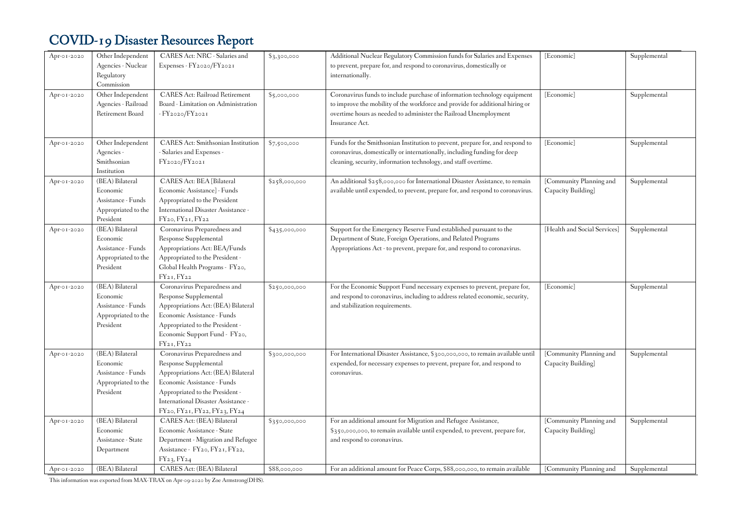| Apr-01-2020 | Other Independent<br>Agencies - Nuclear<br>Regulatory<br>Commission                   | CARES Act: NRC - Salaries and<br>Expenses - FY2020/FY2021                                                                                                                                                                             | \$3,300,000   | Additional Nuclear Regulatory Commission funds for Salaries and Expenses<br>to prevent, prepare for, and respond to coronavirus, domestically or<br>internationally.                                                                             | [Economic]                                    | Supplemental |
|-------------|---------------------------------------------------------------------------------------|---------------------------------------------------------------------------------------------------------------------------------------------------------------------------------------------------------------------------------------|---------------|--------------------------------------------------------------------------------------------------------------------------------------------------------------------------------------------------------------------------------------------------|-----------------------------------------------|--------------|
| Apr-01-2020 | Other Independent<br>Agencies - Railroad<br>Retirement Board                          | <b>CARES Act: Railroad Retirement</b><br>Board - Limitation on Administration<br>- FY2020/FY2021                                                                                                                                      | \$5,000,000   | Coronavirus funds to include purchase of information technology equipment<br>to improve the mobility of the workforce and provide for additional hiring or<br>overtime hours as needed to administer the Railroad Unemployment<br>Insurance Act. | [Economic]                                    | Supplemental |
| Apr-01-2020 | Other Independent<br>Agencies -<br>Smithsonian<br>Institution                         | <b>CARES Act: Smithsonian Institution</b><br>- Salaries and Expenses -<br>FY2020/FY2021                                                                                                                                               | \$7,500,000   | Funds for the Smithsonian Institution to prevent, prepare for, and respond to<br>coronavirus, domestically or internationally, including funding for deep<br>cleaning, security, information technology, and staff overtime.                     | [Economic]                                    | Supplemental |
| Apr-01-2020 | (BEA) Bilateral<br>Economic<br>Assistance - Funds<br>Appropriated to the<br>President | CARES Act: BEA [Bilateral<br>Economic Assistance] - Funds<br>Appropriated to the President<br>International Disaster Assistance -<br>$FY_{20}$ , $FY_{21}$ , $FY_{22}$                                                                | \$258,000,000 | An additional \$258,000,000 for International Disaster Assistance, to remain<br>available until expended, to prevent, prepare for, and respond to coronavirus.                                                                                   | [Community Planning and<br>Capacity Building] | Supplemental |
| Apr-01-2020 | (BEA) Bilateral<br>Economic<br>Assistance - Funds<br>Appropriated to the<br>President | Coronavirus Preparedness and<br>Response Supplemental<br>Appropriations Act: BEA/Funds<br>Appropriated to the President -<br>Global Health Programs - FY20,<br>FY21, FY22                                                             | \$435,000,000 | Support for the Emergency Reserve Fund established pursuant to the<br>Department of State, Foreign Operations, and Related Programs<br>Appropriations Act - to prevent, prepare for, and respond to coronavirus.                                 | [Health and Social Services]                  | Supplemental |
| Apr-01-2020 | (BEA) Bilateral<br>Economic<br>Assistance - Funds<br>Appropriated to the<br>President | Coronavirus Preparedness and<br>Response Supplemental<br>Appropriations Act: (BEA) Bilateral<br>Economic Assistance - Funds<br>Appropriated to the President -<br>Economic Support Fund - FY20,<br>$FY_{21}$ , $FY_{22}$              | \$250,000,000 | For the Economic Support Fund necessary expenses to prevent, prepare for,<br>and respond to coronavirus, including to address related economic, security,<br>and stabilization requirements.                                                     | [Economic]                                    | Supplemental |
| Apr-01-2020 | (BEA) Bilateral<br>Economic<br>Assistance - Funds<br>Appropriated to the<br>President | Coronavirus Preparedness and<br>Response Supplemental<br>Appropriations Act: (BEA) Bilateral<br>Economic Assistance - Funds<br>Appropriated to the President -<br>International Disaster Assistance -<br>FY20, FY21, FY22, FY23, FY24 | \$300,000,000 | For International Disaster Assistance, \$300,000,000, to remain available until<br>expended, for necessary expenses to prevent, prepare for, and respond to<br>coronavirus.                                                                      | [Community Planning and<br>Capacity Building] | Supplemental |
| Apr-01-2020 | (BEA) Bilateral<br>Economic<br>Assistance - State<br>Department                       | CARES Act: (BEA) Bilateral<br>Economic Assistance - State<br>Department - Migration and Refugee<br>Assistance - FY20, FY21, FY22,<br>$FY_2$ <sub>3</sub> , $FY_2$ <sub>4</sub>                                                        | \$350,000,000 | For an additional amount for Migration and Refugee Assistance,<br>\$350,000,000, to remain available until expended, to prevent, prepare for,<br>and respond to coronavirus.                                                                     | [Community Planning and<br>Capacity Building] | Supplemental |
| Apr-01-2020 | (BEA) Bilateral                                                                       | CARES Act: (BEA) Bilateral                                                                                                                                                                                                            | \$88,000,000  | For an additional amount for Peace Corps, \$88,000,000, to remain available                                                                                                                                                                      | [Community Planning and                       | Supplemental |